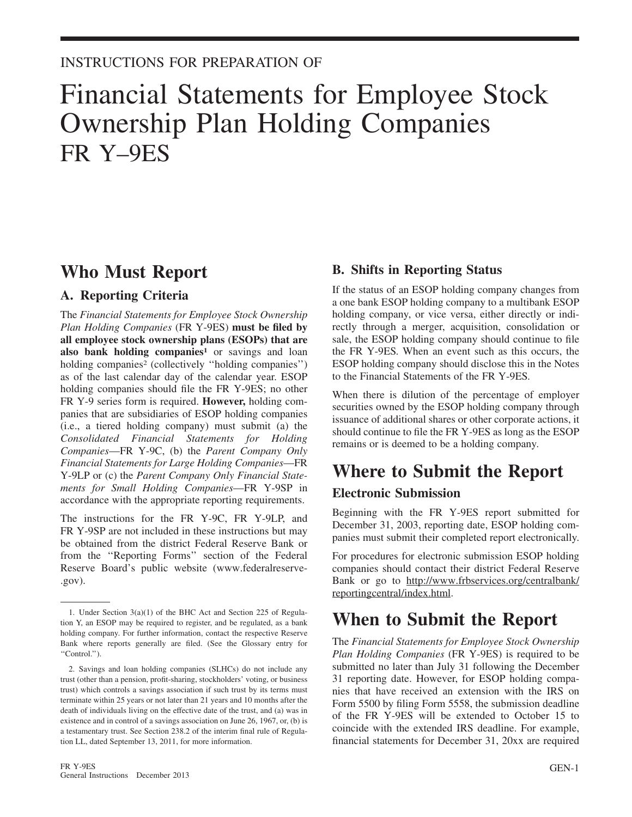### INSTRUCTIONS FOR PREPARATION OF

# Financial Statements for Employee Stock Ownership Plan Holding Companies FR Y–9ES

# **Who Must Report**

### **A. Reporting Criteria**

The *Financial Statements for Employee Stock Ownership Plan Holding Companies* (FR Y-9ES) **must be filed by all employee stock ownership plans (ESOPs) that are also bank holding companies<sup>1</sup>** or savings and loan holding companies<sup>2</sup> (collectively "holding companies") as of the last calendar day of the calendar year. ESOP holding companies should file the FR Y-9ES; no other FR Y-9 series form is required. **However,** holding companies that are subsidiaries of ESOP holding companies (i.e., a tiered holding company) must submit (a) the *Consolidated Financial Statements for Holding Companies*—FR Y-9C, (b) the *Parent Company Only Financial Statements for Large Holding Companies*—FR Y-9LP or (c) the *Parent Company Only Financial Statements for Small Holding Companies*—FR Y-9SP in accordance with the appropriate reporting requirements.

The instructions for the FR Y-9C, FR Y-9LP, and FR Y-9SP are not included in these instructions but may be obtained from the district Federal Reserve Bank or from the ''Reporting Forms'' section of the Federal Reserve Board's public website (www.federalreserve- .gov).

### **B. Shifts in Reporting Status**

If the status of an ESOP holding company changes from a one bank ESOP holding company to a multibank ESOP holding company, or vice versa, either directly or indirectly through a merger, acquisition, consolidation or sale, the ESOP holding company should continue to file the FR Y-9ES. When an event such as this occurs, the ESOP holding company should disclose this in the Notes to the Financial Statements of the FR Y-9ES.

When there is dilution of the percentage of employer securities owned by the ESOP holding company through issuance of additional shares or other corporate actions, it should continue to file the FR Y-9ES as long as the ESOP remains or is deemed to be a holding company.

# **Where to Submit the Report**

### **Electronic Submission**

Beginning with the FR Y-9ES report submitted for December 31, 2003, reporting date, ESOP holding companies must submit their completed report electronically.

For procedures for electronic submission ESOP holding companies should contact their district Federal Reserve Bank or go to http://www.frbservices.org/centralbank/ reportingcentral/index.html.

# **When to Submit the Report**

The *Financial Statements for Employee Stock Ownership Plan Holding Companies* (FR Y-9ES) is required to be submitted no later than July 31 following the December 31 reporting date. However, for ESOP holding companies that have received an extension with the IRS on Form 5500 by filing Form 5558, the submission deadline of the FR Y-9ES will be extended to October 15 to coincide with the extended IRS deadline. For example, financial statements for December 31, 20xx are required

<sup>1.</sup> Under Section 3(a)(1) of the BHC Act and Section 225 of Regulation Y, an ESOP may be required to register, and be regulated, as a bank holding company. For further information, contact the respective Reserve Bank where reports generally are filed. (See the Glossary entry for "Control.").

<sup>2.</sup> Savings and loan holding companies (SLHCs) do not include any trust (other than a pension, profit-sharing, stockholders' voting, or business trust) which controls a savings association if such trust by its terms must terminate within 25 years or not later than 21 years and 10 months after the death of individuals living on the effective date of the trust, and (a) was in existence and in control of a savings association on June 26, 1967, or, (b) is a testamentary trust. See Section 238.2 of the interim final rule of Regulation LL, dated September 13, 2011, for more information.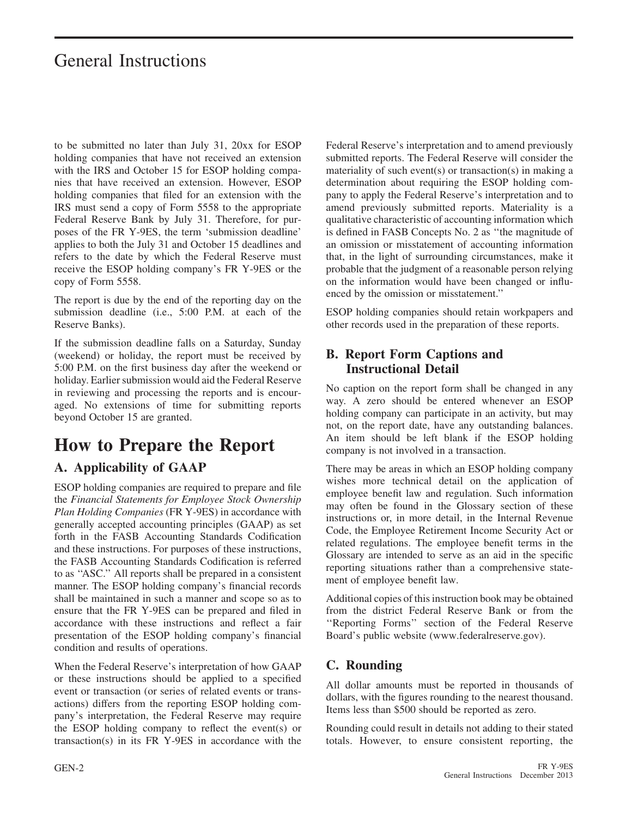# General Instructions

to be submitted no later than July 31, 20xx for ESOP holding companies that have not received an extension with the IRS and October 15 for ESOP holding companies that have received an extension. However, ESOP holding companies that filed for an extension with the IRS must send a copy of Form 5558 to the appropriate Federal Reserve Bank by July 31. Therefore, for purposes of the FR Y-9ES, the term 'submission deadline' applies to both the July 31 and October 15 deadlines and refers to the date by which the Federal Reserve must receive the ESOP holding company's FR Y-9ES or the copy of Form 5558.

The report is due by the end of the reporting day on the submission deadline (i.e., 5:00 P.M. at each of the Reserve Banks).

If the submission deadline falls on a Saturday, Sunday (weekend) or holiday, the report must be received by 5:00 P.M. on the first business day after the weekend or holiday. Earlier submission would aid the Federal Reserve in reviewing and processing the reports and is encouraged. No extensions of time for submitting reports beyond October 15 are granted.

# **How to Prepare the Report**

## **A. Applicability of GAAP**

ESOP holding companies are required to prepare and file the *Financial Statements for Employee Stock Ownership Plan Holding Companies* (FR Y-9ES) in accordance with generally accepted accounting principles (GAAP) as set forth in the FASB Accounting Standards Codification and these instructions. For purposes of these instructions, the FASB Accounting Standards Codification is referred to as ''ASC.'' All reports shall be prepared in a consistent manner. The ESOP holding company's financial records shall be maintained in such a manner and scope so as to ensure that the FR Y-9ES can be prepared and filed in accordance with these instructions and reflect a fair presentation of the ESOP holding company's financial condition and results of operations.

When the Federal Reserve's interpretation of how GAAP or these instructions should be applied to a specified event or transaction (or series of related events or transactions) differs from the reporting ESOP holding company's interpretation, the Federal Reserve may require the ESOP holding company to reflect the event(s) or transaction(s) in its FR Y-9ES in accordance with the Federal Reserve's interpretation and to amend previously submitted reports. The Federal Reserve will consider the materiality of such event(s) or transaction(s) in making a determination about requiring the ESOP holding company to apply the Federal Reserve's interpretation and to amend previously submitted reports. Materiality is a qualitative characteristic of accounting information which is defined in FASB Concepts No. 2 as ''the magnitude of an omission or misstatement of accounting information that, in the light of surrounding circumstances, make it probable that the judgment of a reasonable person relying on the information would have been changed or influenced by the omission or misstatement.''

ESOP holding companies should retain workpapers and other records used in the preparation of these reports.

### **B. Report Form Captions and Instructional Detail**

No caption on the report form shall be changed in any way. A zero should be entered whenever an ESOP holding company can participate in an activity, but may not, on the report date, have any outstanding balances. An item should be left blank if the ESOP holding company is not involved in a transaction.

There may be areas in which an ESOP holding company wishes more technical detail on the application of employee benefit law and regulation. Such information may often be found in the Glossary section of these instructions or, in more detail, in the Internal Revenue Code, the Employee Retirement Income Security Act or related regulations. The employee benefit terms in the Glossary are intended to serve as an aid in the specific reporting situations rather than a comprehensive statement of employee benefit law.

Additional copies of this instruction book may be obtained from the district Federal Reserve Bank or from the ''Reporting Forms'' section of the Federal Reserve Board's public website (www.federalreserve.gov).

## **C. Rounding**

All dollar amounts must be reported in thousands of dollars, with the figures rounding to the nearest thousand. Items less than \$500 should be reported as zero.

Rounding could result in details not adding to their stated totals. However, to ensure consistent reporting, the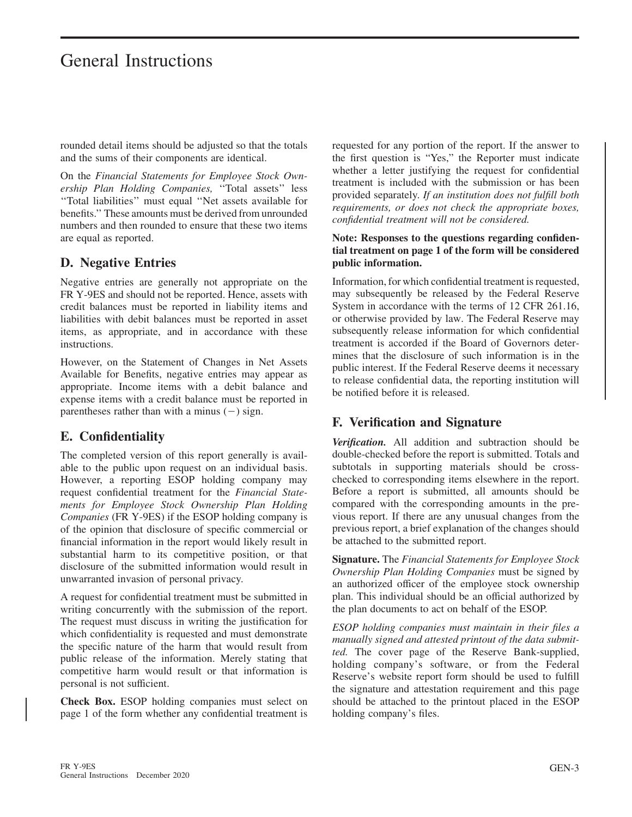# General Instructions

rounded detail items should be adjusted so that the totals and the sums of their components are identical.

On the *Financial Statements for Employee Stock Ownership Plan Holding Companies,* ''Total assets'' less ''Total liabilities'' must equal ''Net assets available for benefits.'' These amounts must be derived from unrounded numbers and then rounded to ensure that these two items are equal as reported.

### **D. Negative Entries**

Negative entries are generally not appropriate on the FR Y-9ES and should not be reported. Hence, assets with credit balances must be reported in liability items and liabilities with debit balances must be reported in asset items, as appropriate, and in accordance with these instructions.

However, on the Statement of Changes in Net Assets Available for Benefits, negative entries may appear as appropriate. Income items with a debit balance and expense items with a credit balance must be reported in parentheses rather than with a minus  $(-)$  sign.

### **E. Confidentiality**

The completed version of this report generally is available to the public upon request on an individual basis. However, a reporting ESOP holding company may request confidential treatment for the *Financial Statements for Employee Stock Ownership Plan Holding Companies* (FR Y-9ES) if the ESOP holding company is of the opinion that disclosure of specific commercial or financial information in the report would likely result in substantial harm to its competitive position, or that disclosure of the submitted information would result in unwarranted invasion of personal privacy.

A request for confidential treatment must be submitted in writing concurrently with the submission of the report. The request must discuss in writing the justification for which confidentiality is requested and must demonstrate the specific nature of the harm that would result from public release of the information. Merely stating that competitive harm would result or that information is personal is not sufficient.

**Check Box.** ESOP holding companies must select on page 1 of the form whether any confidential treatment is requested for any portion of the report. If the answer to the first question is "Yes," the Reporter must indicate whether a letter justifying the request for confidential treatment is included with the submission or has been provided separately. *If an institution does not fulfill both requirements, or does not check the appropriate boxes, confidential treatment will not be considered.*

#### **Note: Responses to the questions regarding confidential treatment on page 1 of the form will be considered public information.**

Information, for which confidential treatment is requested, may subsequently be released by the Federal Reserve System in accordance with the terms of 12 CFR 261.16, or otherwise provided by law. The Federal Reserve may subsequently release information for which confidential treatment is accorded if the Board of Governors determines that the disclosure of such information is in the public interest. If the Federal Reserve deems it necessary to release confidential data, the reporting institution will be notified before it is released.

### **F. Verification and Signature**

*Verification.* All addition and subtraction should be double-checked before the report is submitted. Totals and subtotals in supporting materials should be crosschecked to corresponding items elsewhere in the report. Before a report is submitted, all amounts should be compared with the corresponding amounts in the previous report. If there are any unusual changes from the previous report, a brief explanation of the changes should be attached to the submitted report.

**Signature.** The *Financial Statements for Employee Stock Ownership Plan Holding Companies* must be signed by an authorized officer of the employee stock ownership plan. This individual should be an official authorized by the plan documents to act on behalf of the ESOP.

*ESOP holding companies must maintain in their files a manually signed and attested printout of the data submitted.* The cover page of the Reserve Bank-supplied, holding company's software, or from the Federal Reserve's website report form should be used to fulfill the signature and attestation requirement and this page should be attached to the printout placed in the ESOP holding company's files.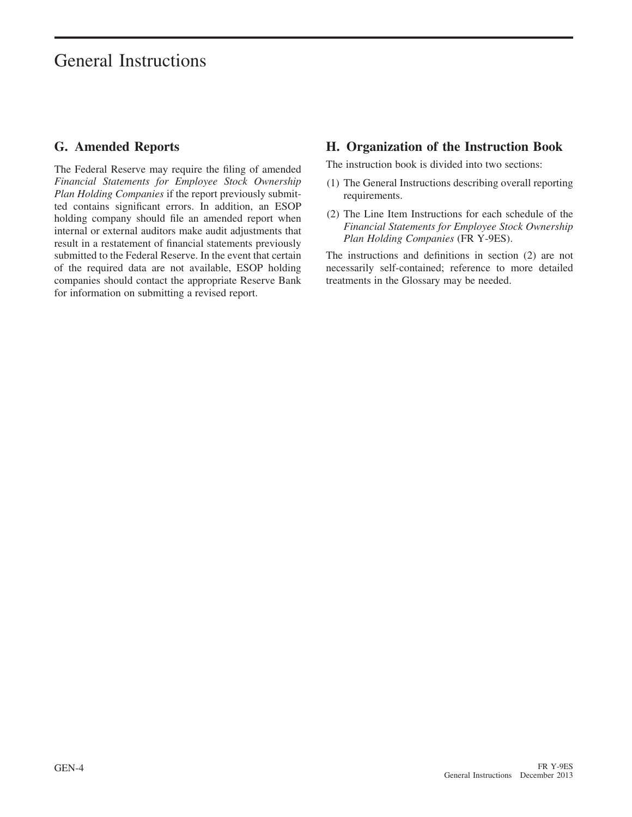# General Instructions

### **G. Amended Reports**

The Federal Reserve may require the filing of amended *Financial Statements for Employee Stock Ownership Plan Holding Companies* if the report previously submitted contains significant errors. In addition, an ESOP holding company should file an amended report when internal or external auditors make audit adjustments that result in a restatement of financial statements previously submitted to the Federal Reserve. In the event that certain of the required data are not available, ESOP holding companies should contact the appropriate Reserve Bank for information on submitting a revised report.

### **H. Organization of the Instruction Book**

The instruction book is divided into two sections:

- (1) The General Instructions describing overall reporting requirements.
- (2) The Line Item Instructions for each schedule of the *Financial Statements for Employee Stock Ownership Plan Holding Companies* (FR Y-9ES).

The instructions and definitions in section (2) are not necessarily self-contained; reference to more detailed treatments in the Glossary may be needed.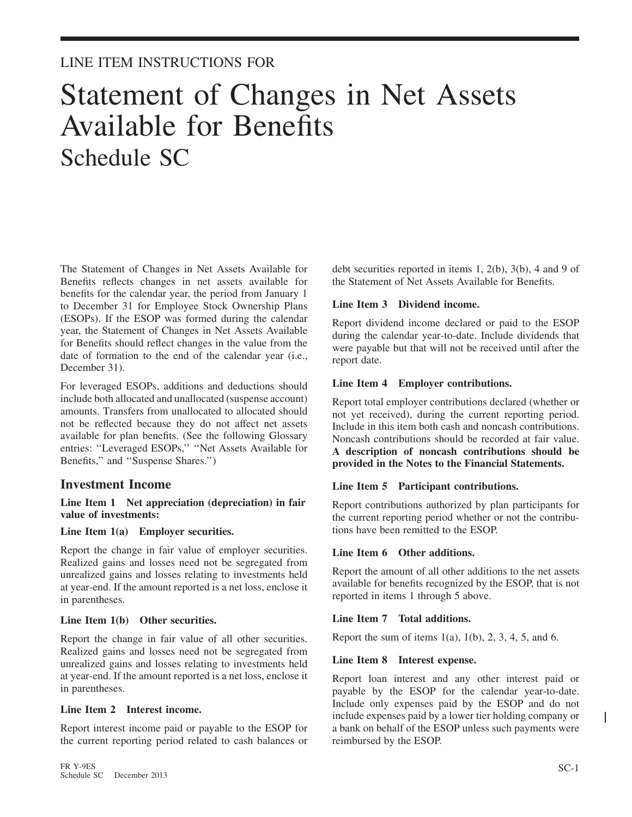# Statement of Changes in Net Assets Available for Benefits Schedule SC

The Statement of Changes in Net Assets Available for Benefits reflects changes in net assets available for benefits for the calendar year, the period from January 1 to December 31 for Employee Stock Ownership Plans (ESOPs). If the ESOP was formed during the calendar year, the Statement of Changes in Net Assets Available for Benefits should reflect changes in the value from the date of formation to the end of the calendar year (i.e., December 31).

For leveraged ESOPs, additions and deductions should include both allocated and unallocated (suspense account) amounts. Transfers from unallocated to allocated should not be reflected because they do not affect net assets available for plan benefits. (See the following Glossary entries: ''Leveraged ESOPs,'' ''Net Assets Available for Benefits,'' and ''Suspense Shares.'')

### **Investment Income**

**Line Item 1 Net appreciation (depreciation) in fair value of investments:**

#### **Line Item 1(a) Employer securities.**

Report the change in fair value of employer securities. Realized gains and losses need not be segregated from unrealized gains and losses relating to investments held at year-end. If the amount reported is a net loss, enclose it in parentheses.

#### **Line Item 1(b) Other securities.**

Report the change in fair value of all other securities. Realized gains and losses need not be segregated from unrealized gains and losses relating to investments held at year-end. If the amount reported is a net loss, enclose it in parentheses.

#### **Line Item 2 Interest income.**

Report interest income paid or payable to the ESOP for the current reporting period related to cash balances or debt securities reported in items 1, 2(b), 3(b), 4 and 9 of the Statement of Net Assets Available for Benefits.

#### **Line Item 3 Dividend income.**

Report dividend income declared or paid to the ESOP during the calendar year-to-date. Include dividends that were payable but that will not be received until after the report date.

#### **Line Item 4 Employer contributions.**

Report total employer contributions declared (whether or not yet received), during the current reporting period. Include in this item both cash and noncash contributions. Noncash contributions should be recorded at fair value. **A description of noncash contributions should be provided in the Notes to the Financial Statements.**

#### **Line Item 5 Participant contributions.**

Report contributions authorized by plan participants for the current reporting period whether or not the contributions have been remitted to the ESOP.

#### **Line Item 6 Other additions.**

Report the amount of all other additions to the net assets available for benefits recognized by the ESOP, that is not reported in items 1 through 5 above.

#### **Line Item 7 Total additions.**

Report the sum of items  $1(a)$ ,  $1(b)$ ,  $2$ ,  $3$ ,  $4$ ,  $5$ , and  $6$ .

#### **Line Item 8 Interest expense.**

Report loan interest and any other interest paid or payable by the ESOP for the calendar year-to-date. Include only expenses paid by the ESOP and do not include expenses paid by a lower tier holding company or a bank on behalf of the ESOP unless such payments were reimbursed by the ESOP.

I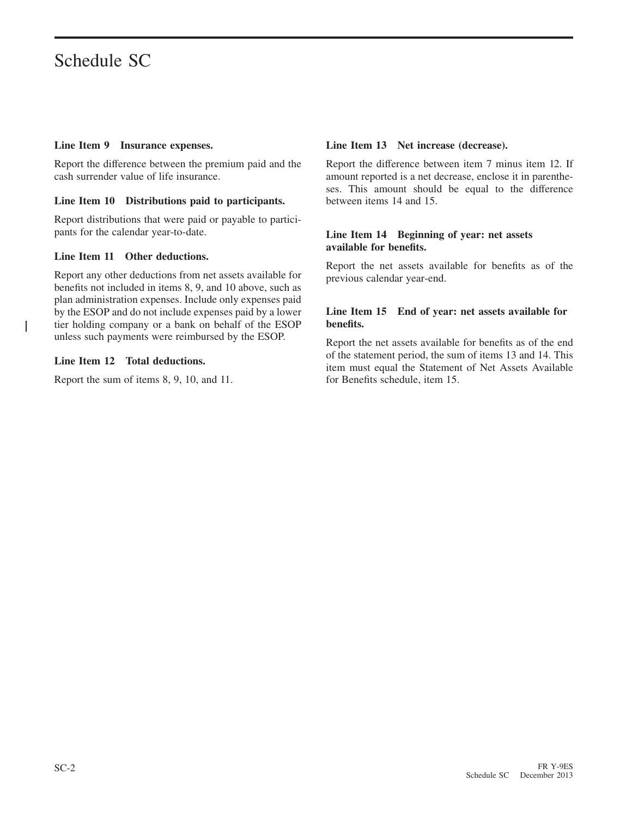#### **Line Item 9 Insurance expenses.**

Report the difference between the premium paid and the cash surrender value of life insurance.

#### **Line Item 10 Distributions paid to participants.**

Report distributions that were paid or payable to participants for the calendar year-to-date.

#### **Line Item 11 Other deductions.**

Report any other deductions from net assets available for benefits not included in items 8, 9, and 10 above, such as plan administration expenses. Include only expenses paid by the ESOP and do not include expenses paid by a lower tier holding company or a bank on behalf of the ESOP unless such payments were reimbursed by the ESOP.

#### **Line Item 12 Total deductions.**

I

Report the sum of items 8, 9, 10, and 11.

#### **Line Item 13 Net increase (decrease).**

Report the difference between item 7 minus item 12. If amount reported is a net decrease, enclose it in parentheses. This amount should be equal to the difference between items 14 and 15.

#### **Line Item 14 Beginning of year: net assets available for benefits.**

Report the net assets available for benefits as of the previous calendar year-end.

#### **Line Item 15 End of year: net assets available for benefits.**

Report the net assets available for benefits as of the end of the statement period, the sum of items 13 and 14. This item must equal the Statement of Net Assets Available for Benefits schedule, item 15.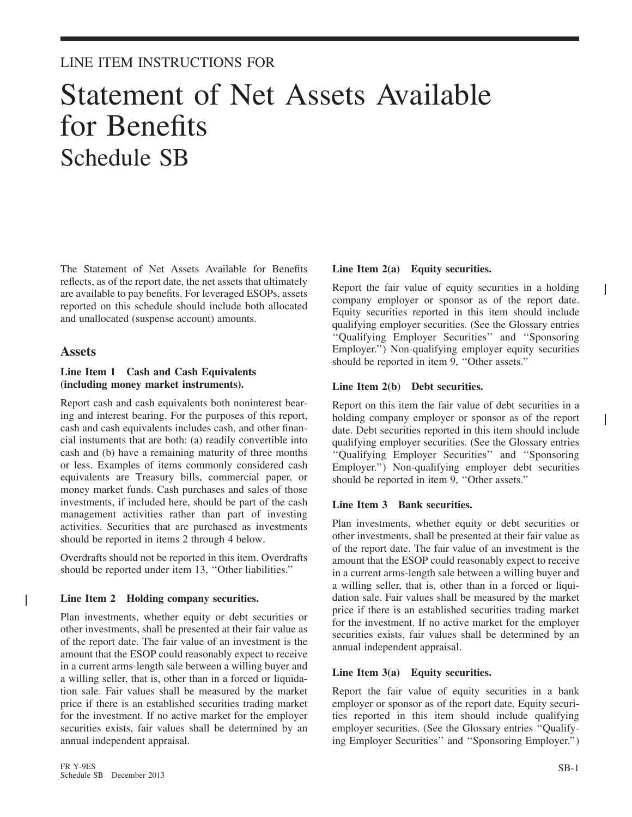# Statement of Net Assets Available for Benefits Schedule SB

The Statement of Net Assets Available for Benefits reflects, as of the report date, the net assets that ultimately are available to pay benefits. For leveraged ESOPs, assets reported on this schedule should include both allocated and unallocated (suspense account) amounts.

#### **Assets**

T

#### **Line Item 1 Cash and Cash Equivalents (including money market instruments).**

Report cash and cash equivalents both noninterest bearing and interest bearing. For the purposes of this report, cash and cash equivalents includes cash, and other financial instuments that are both: (a) readily convertible into cash and (b) have a remaining maturity of three months or less. Examples of items commonly considered cash equivalents are Treasury bills, commercial paper, or money market funds. Cash purchases and sales of those investments, if included here, should be part of the cash management activities rather than part of investing activities. Securities that are purchased as investments should be reported in items 2 through 4 below.

Overdrafts should not be reported in this item. Overdrafts should be reported under item 13, ''Other liabilities.''

#### **Line Item 2 Holding company securities.**

Plan investments, whether equity or debt securities or other investments, shall be presented at their fair value as of the report date. The fair value of an investment is the amount that the ESOP could reasonably expect to receive in a current arms-length sale between a willing buyer and a willing seller, that is, other than in a forced or liquidation sale. Fair values shall be measured by the market price if there is an established securities trading market for the investment. If no active market for the employer securities exists, fair values shall be determined by an annual independent appraisal.

#### **Line Item 2(a) Equity securities.**

Report the fair value of equity securities in a holding company employer or sponsor as of the report date. Equity securities reported in this item should include qualifying employer securities. (See the Glossary entries ''Qualifying Employer Securities'' and ''Sponsoring Employer.'') Non-qualifying employer equity securities should be reported in item 9, ''Other assets.''

#### **Line Item 2(b) Debt securities.**

Report on this item the fair value of debt securities in a holding company employer or sponsor as of the report date. Debt securities reported in this item should include qualifying employer securities. (See the Glossary entries ''Qualifying Employer Securities'' and ''Sponsoring Employer.'') Non-qualifying employer debt securities should be reported in item 9, ''Other assets.''

#### **Line Item 3 Bank securities.**

Plan investments, whether equity or debt securities or other investments, shall be presented at their fair value as of the report date. The fair value of an investment is the amount that the ESOP could reasonably expect to receive in a current arms-length sale between a willing buyer and a willing seller, that is, other than in a forced or liquidation sale. Fair values shall be measured by the market price if there is an established securities trading market for the investment. If no active market for the employer securities exists, fair values shall be determined by an annual independent appraisal.

#### **Line Item 3(a) Equity securities.**

Report the fair value of equity securities in a bank employer or sponsor as of the report date. Equity securities reported in this item should include qualifying employer securities. (See the Glossary entries ''Qualifying Employer Securities'' and ''Sponsoring Employer.'')  $\mathbf{I}$ 

 $\overline{\phantom{a}}$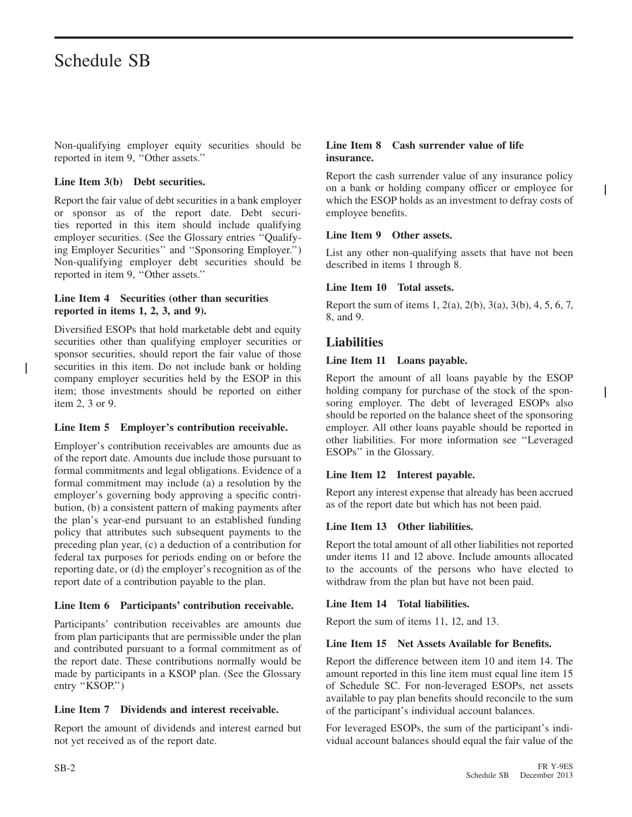# Schedule SB

Non-qualifying employer equity securities should be reported in item 9, ''Other assets.''

#### **Line Item 3(b) Debt securities.**

Report the fair value of debt securities in a bank employer or sponsor as of the report date. Debt securities reported in this item should include qualifying employer securities. (See the Glossary entries ''Qualifying Employer Securities'' and ''Sponsoring Employer.'') Non-qualifying employer debt securities should be reported in item 9, ''Other assets.''

#### **Line Item 4 Securities (other than securities reported in items 1, 2, 3, and 9).**

Diversified ESOPs that hold marketable debt and equity securities other than qualifying employer securities or sponsor securities, should report the fair value of those securities in this item. Do not include bank or holding company employer securities held by the ESOP in this item; those investments should be reported on either item 2, 3 or 9.

#### **Line Item 5 Employer's contribution receivable.**

Employer's contribution receivables are amounts due as of the report date. Amounts due include those pursuant to formal commitments and legal obligations. Evidence of a formal commitment may include (a) a resolution by the employer's governing body approving a specific contribution, (b) a consistent pattern of making payments after the plan's year-end pursuant to an established funding policy that attributes such subsequent payments to the preceding plan year, (c) a deduction of a contribution for federal tax purposes for periods ending on or before the reporting date, or (d) the employer's recognition as of the report date of a contribution payable to the plan.

#### **Line Item 6 Participants' contribution receivable.**

Participants' contribution receivables are amounts due from plan participants that are permissible under the plan and contributed pursuant to a formal commitment as of the report date. These contributions normally would be made by participants in a KSOP plan. (See the Glossary entry "KSOP.")

#### **Line Item 7 Dividends and interest receivable.**

Report the amount of dividends and interest earned but not yet received as of the report date.

#### **Line Item 8 Cash surrender value of life insurance.**

Report the cash surrender value of any insurance policy on a bank or holding company officer or employee for which the ESOP holds as an investment to defray costs of employee benefits.

I

I

#### **Line Item 9 Other assets.**

List any other non-qualifying assets that have not been described in items 1 through 8.

#### **Line Item 10 Total assets.**

Report the sum of items 1, 2(a), 2(b), 3(a), 3(b), 4, 5, 6, 7, 8, and 9.

### **Liabilities**

#### **Line Item 11 Loans payable.**

Report the amount of all loans payable by the ESOP holding company for purchase of the stock of the sponsoring employer. The debt of leveraged ESOPs also should be reported on the balance sheet of the sponsoring employer. All other loans payable should be reported in other liabilities. For more information see ''Leveraged ESOPs'' in the Glossary.

#### **Line Item 12 Interest payable.**

Report any interest expense that already has been accrued as of the report date but which has not been paid.

#### **Line Item 13 Other liabilities.**

Report the total amount of all other liabilities not reported under items 11 and 12 above. Include amounts allocated to the accounts of the persons who have elected to withdraw from the plan but have not been paid.

#### **Line Item 14 Total liabilities.**

Report the sum of items 11, 12, and 13.

#### **Line Item 15 Net Assets Available for Benefits.**

Report the difference between item 10 and item 14. The amount reported in this line item must equal line item 15 of Schedule SC. For non-leveraged ESOPs, net assets available to pay plan benefits should reconcile to the sum of the participant's individual account balances.

For leveraged ESOPs, the sum of the participant's individual account balances should equal the fair value of the

ı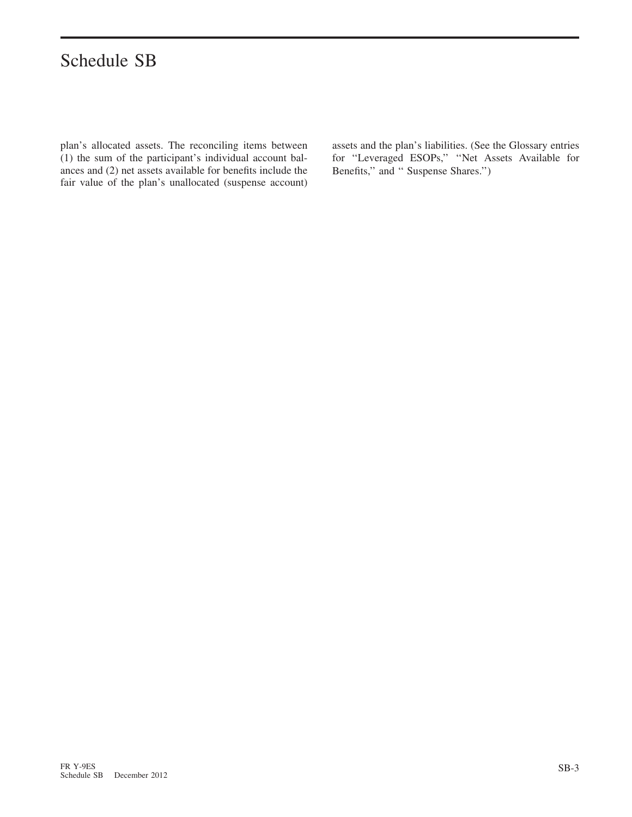# Schedule SB

plan's allocated assets. The reconciling items between (1) the sum of the participant's individual account balances and (2) net assets available for benefits include the fair value of the plan's unallocated (suspense account)

assets and the plan's liabilities. (See the Glossary entries for ''Leveraged ESOPs,'' ''Net Assets Available for Benefits,'' and '' Suspense Shares.'')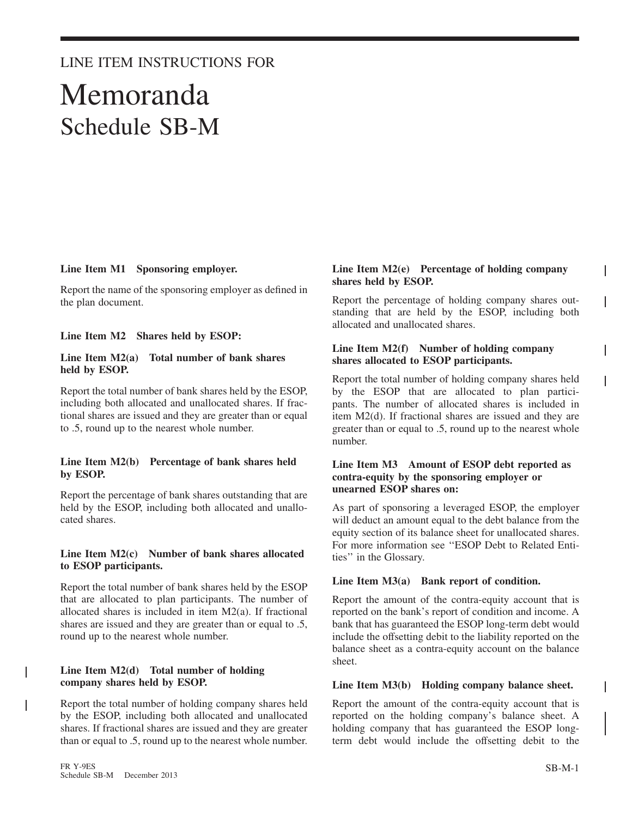## LINE ITEM INSTRUCTIONS FOR

# Memoranda Schedule SB-M

#### **Line Item M1 Sponsoring employer.**

Report the name of the sponsoring employer as defined in the plan document.

#### **Line Item M2 Shares held by ESOP:**

#### **Line Item M2(a) Total number of bank shares held by ESOP.**

Report the total number of bank shares held by the ESOP, including both allocated and unallocated shares. If fractional shares are issued and they are greater than or equal to .5, round up to the nearest whole number.

#### **Line Item M2(b) Percentage of bank shares held by ESOP.**

Report the percentage of bank shares outstanding that are held by the ESOP, including both allocated and unallocated shares.

#### **Line Item M2(c) Number of bank shares allocated to ESOP participants.**

Report the total number of bank shares held by the ESOP that are allocated to plan participants. The number of allocated shares is included in item M2(a). If fractional shares are issued and they are greater than or equal to .5, round up to the nearest whole number.

#### **Line Item M2(d) Total number of holding company shares held by ESOP.**

Report the total number of holding company shares held by the ESOP, including both allocated and unallocated shares. If fractional shares are issued and they are greater than or equal to .5, round up to the nearest whole number.

#### **Line Item M2(e) Percentage of holding company shares held by ESOP.**

Report the percentage of holding company shares outstanding that are held by the ESOP, including both allocated and unallocated shares.

#### **Line Item M2(f) Number of holding company shares allocated to ESOP participants.**

Report the total number of holding company shares held by the ESOP that are allocated to plan participants. The number of allocated shares is included in item M2(d). If fractional shares are issued and they are greater than or equal to .5, round up to the nearest whole number.

#### **Line Item M3 Amount of ESOP debt reported as contra-equity by the sponsoring employer or unearned ESOP shares on:**

As part of sponsoring a leveraged ESOP, the employer will deduct an amount equal to the debt balance from the equity section of its balance sheet for unallocated shares. For more information see ''ESOP Debt to Related Entities'' in the Glossary.

#### **Line Item M3(a) Bank report of condition.**

Report the amount of the contra-equity account that is reported on the bank's report of condition and income. A bank that has guaranteed the ESOP long-term debt would include the offsetting debit to the liability reported on the balance sheet as a contra-equity account on the balance sheet.

#### **Line Item M3(b) Holding company balance sheet.**

Report the amount of the contra-equity account that is reported on the holding company's balance sheet. A holding company that has guaranteed the ESOP longterm debt would include the offsetting debit to the

ı

ı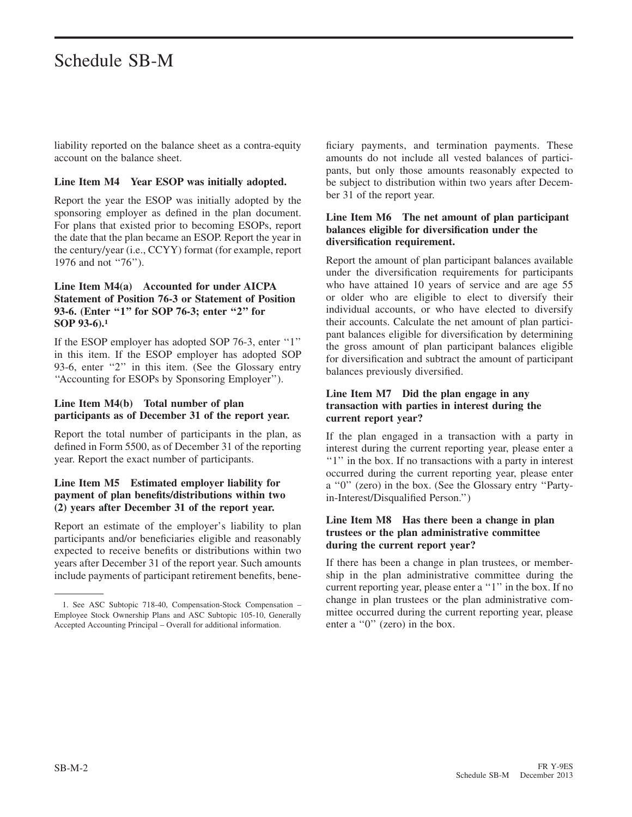# Schedule SB-M

liability reported on the balance sheet as a contra-equity account on the balance sheet.

#### **Line Item M4 Year ESOP was initially adopted.**

Report the year the ESOP was initially adopted by the sponsoring employer as defined in the plan document. For plans that existed prior to becoming ESOPs, report the date that the plan became an ESOP. Report the year in the century/year (i.e., CCYY) format (for example, report 1976 and not "76").

#### **Line Item M4(a) Accounted for under AICPA Statement of Position 76-3 or Statement of Position 93-6. (Enter ''1'' for SOP 76-3; enter ''2'' for SOP 93-6).<sup>1</sup>**

If the ESOP employer has adopted SOP 76-3, enter ''1'' in this item. If the ESOP employer has adopted SOP 93-6, enter "2" in this item. (See the Glossary entry ''Accounting for ESOPs by Sponsoring Employer'').

#### **Line Item M4(b) Total number of plan participants as of December 31 of the report year.**

Report the total number of participants in the plan, as defined in Form 5500, as of December 31 of the reporting year. Report the exact number of participants.

#### **Line Item M5 Estimated employer liability for payment of plan benefits/distributions within two (2) years after December 31 of the report year.**

Report an estimate of the employer's liability to plan participants and/or beneficiaries eligible and reasonably expected to receive benefits or distributions within two years after December 31 of the report year. Such amounts include payments of participant retirement benefits, beneficiary payments, and termination payments. These amounts do not include all vested balances of participants, but only those amounts reasonably expected to be subject to distribution within two years after December 31 of the report year.

#### **Line Item M6 The net amount of plan participant balances eligible for diversification under the diversification requirement.**

Report the amount of plan participant balances available under the diversification requirements for participants who have attained 10 years of service and are age 55 or older who are eligible to elect to diversify their individual accounts, or who have elected to diversify their accounts. Calculate the net amount of plan participant balances eligible for diversification by determining the gross amount of plan participant balances eligible for diversification and subtract the amount of participant balances previously diversified.

#### **Line Item M7 Did the plan engage in any transaction with parties in interest during the current report year?**

If the plan engaged in a transaction with a party in interest during the current reporting year, please enter a "1" in the box. If no transactions with a party in interest occurred during the current reporting year, please enter a ''0'' (zero) in the box. (See the Glossary entry ''Partyin-Interest/Disqualified Person.'')

#### **Line Item M8 Has there been a change in plan trustees or the plan administrative committee during the current report year?**

If there has been a change in plan trustees, or membership in the plan administrative committee during the current reporting year, please enter a ''1'' in the box. If no change in plan trustees or the plan administrative committee occurred during the current reporting year, please enter a "0" (zero) in the box.

<sup>1.</sup> See ASC Subtopic 718-40, Compensation-Stock Compensation – Employee Stock Ownership Plans and ASC Subtopic 105-10, Generally Accepted Accounting Principal – Overall for additional information.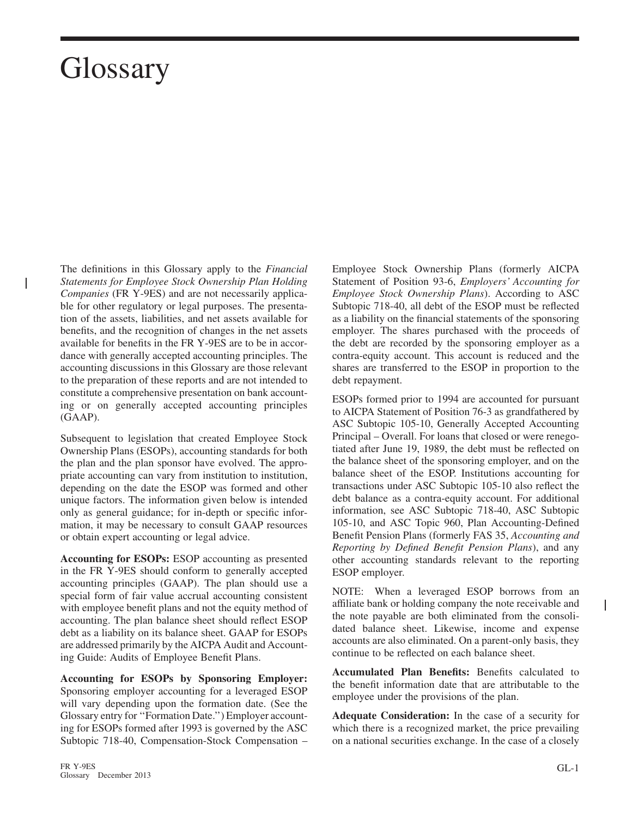$\overline{\phantom{a}}$ 

The definitions in this Glossary apply to the *Financial Statements for Employee Stock Ownership Plan Holding Companies* (FR Y-9ES) and are not necessarily applicable for other regulatory or legal purposes. The presentation of the assets, liabilities, and net assets available for benefits, and the recognition of changes in the net assets available for benefits in the FR Y-9ES are to be in accordance with generally accepted accounting principles. The accounting discussions in this Glossary are those relevant to the preparation of these reports and are not intended to constitute a comprehensive presentation on bank accounting or on generally accepted accounting principles (GAAP).

Subsequent to legislation that created Employee Stock Ownership Plans (ESOPs), accounting standards for both the plan and the plan sponsor have evolved. The appropriate accounting can vary from institution to institution, depending on the date the ESOP was formed and other unique factors. The information given below is intended only as general guidance; for in-depth or specific information, it may be necessary to consult GAAP resources or obtain expert accounting or legal advice.

**Accounting for ESOPs:** ESOP accounting as presented in the FR Y-9ES should conform to generally accepted accounting principles (GAAP). The plan should use a special form of fair value accrual accounting consistent with employee benefit plans and not the equity method of accounting. The plan balance sheet should reflect ESOP debt as a liability on its balance sheet. GAAP for ESOPs are addressed primarily by the AICPA Audit and Accounting Guide: Audits of Employee Benefit Plans.

**Accounting for ESOPs by Sponsoring Employer:** Sponsoring employer accounting for a leveraged ESOP will vary depending upon the formation date. (See the Glossary entry for ''Formation Date.'') Employer accounting for ESOPs formed after 1993 is governed by the ASC Subtopic 718-40, Compensation-Stock Compensation – Employee Stock Ownership Plans (formerly AICPA Statement of Position 93-6, *Employers' Accounting for Employee Stock Ownership Plans*). According to ASC Subtopic 718-40, all debt of the ESOP must be reflected as a liability on the financial statements of the sponsoring employer. The shares purchased with the proceeds of the debt are recorded by the sponsoring employer as a contra-equity account. This account is reduced and the shares are transferred to the ESOP in proportion to the debt repayment.

ESOPs formed prior to 1994 are accounted for pursuant to AICPA Statement of Position 76-3 as grandfathered by ASC Subtopic 105-10, Generally Accepted Accounting Principal – Overall. For loans that closed or were renegotiated after June 19, 1989, the debt must be reflected on the balance sheet of the sponsoring employer, and on the balance sheet of the ESOP. Institutions accounting for transactions under ASC Subtopic 105-10 also reflect the debt balance as a contra-equity account. For additional information, see ASC Subtopic 718-40, ASC Subtopic 105-10, and ASC Topic 960, Plan Accounting-Defined Benefit Pension Plans (formerly FAS 35, *Accounting and Reporting by Defined Benefit Pension Plans*), and any other accounting standards relevant to the reporting ESOP employer.

NOTE: When a leveraged ESOP borrows from an affiliate bank or holding company the note receivable and the note payable are both eliminated from the consolidated balance sheet. Likewise, income and expense accounts are also eliminated. On a parent-only basis, they continue to be reflected on each balance sheet.

**Accumulated Plan Benefits:** Benefits calculated to the benefit information date that are attributable to the employee under the provisions of the plan.

**Adequate Consideration:** In the case of a security for which there is a recognized market, the price prevailing on a national securities exchange. In the case of a closely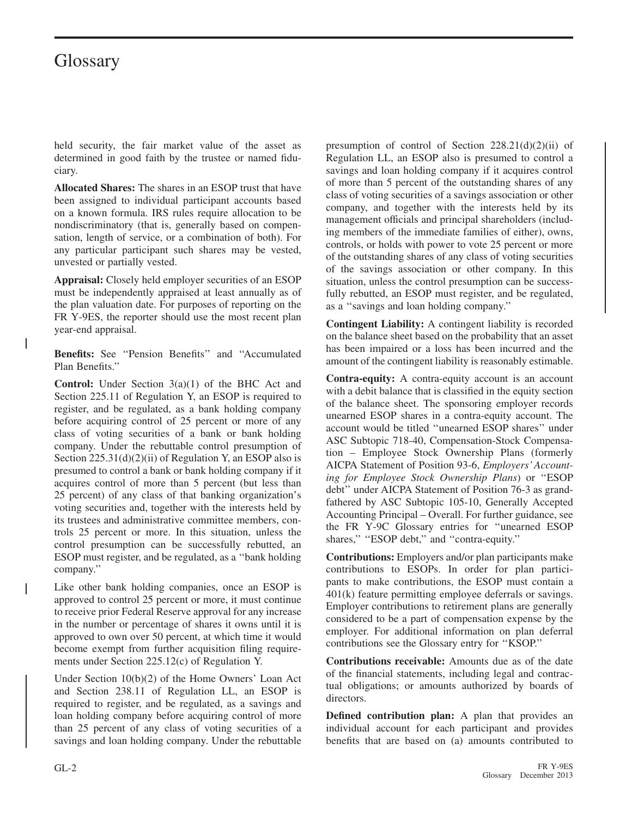ı

I

held security, the fair market value of the asset as determined in good faith by the trustee or named fiduciary.

**Allocated Shares:** The shares in an ESOP trust that have been assigned to individual participant accounts based on a known formula. IRS rules require allocation to be nondiscriminatory (that is, generally based on compensation, length of service, or a combination of both). For any particular participant such shares may be vested, unvested or partially vested.

**Appraisal:** Closely held employer securities of an ESOP must be independently appraised at least annually as of the plan valuation date. For purposes of reporting on the FR Y-9ES, the reporter should use the most recent plan year-end appraisal.

**Benefits:** See ''Pension Benefits'' and ''Accumulated Plan Benefits.''

**Control:** Under Section 3(a)(1) of the BHC Act and Section 225.11 of Regulation Y, an ESOP is required to register, and be regulated, as a bank holding company before acquiring control of 25 percent or more of any class of voting securities of a bank or bank holding company. Under the rebuttable control presumption of Section 225.31(d)(2)(ii) of Regulation Y, an ESOP also is presumed to control a bank or bank holding company if it acquires control of more than 5 percent (but less than 25 percent) of any class of that banking organization's voting securities and, together with the interests held by its trustees and administrative committee members, controls 25 percent or more. In this situation, unless the control presumption can be successfully rebutted, an ESOP must register, and be regulated, as a ''bank holding company.''

Like other bank holding companies, once an ESOP is approved to control 25 percent or more, it must continue to receive prior Federal Reserve approval for any increase in the number or percentage of shares it owns until it is approved to own over 50 percent, at which time it would become exempt from further acquisition filing requirements under Section 225.12(c) of Regulation Y.

Under Section 10(b)(2) of the Home Owners' Loan Act and Section 238.11 of Regulation LL, an ESOP is required to register, and be regulated, as a savings and loan holding company before acquiring control of more than 25 percent of any class of voting securities of a savings and loan holding company. Under the rebuttable presumption of control of Section  $228.21(d)(2)(ii)$  of Regulation LL, an ESOP also is presumed to control a savings and loan holding company if it acquires control of more than 5 percent of the outstanding shares of any class of voting securities of a savings association or other company, and together with the interests held by its management officials and principal shareholders (including members of the immediate families of either), owns, controls, or holds with power to vote 25 percent or more of the outstanding shares of any class of voting securities of the savings association or other company. In this situation, unless the control presumption can be successfully rebutted, an ESOP must register, and be regulated, as a ''savings and loan holding company.''

**Contingent Liability:** A contingent liability is recorded on the balance sheet based on the probability that an asset has been impaired or a loss has been incurred and the amount of the contingent liability is reasonably estimable.

**Contra-equity:** A contra-equity account is an account with a debit balance that is classified in the equity section of the balance sheet. The sponsoring employer records unearned ESOP shares in a contra-equity account. The account would be titled ''unearned ESOP shares'' under ASC Subtopic 718-40, Compensation-Stock Compensation – Employee Stock Ownership Plans (formerly AICPA Statement of Position 93-6, *Employers' Accounting for Employee Stock Ownership Plans*) or ''ESOP debt'' under AICPA Statement of Position 76-3 as grandfathered by ASC Subtopic 105-10, Generally Accepted Accounting Principal – Overall. For further guidance, see the FR Y-9C Glossary entries for ''unearned ESOP shares," "ESOP debt," and "contra-equity."

**Contributions:** Employers and/or plan participants make contributions to ESOPs. In order for plan participants to make contributions, the ESOP must contain a 401(k) feature permitting employee deferrals or savings. Employer contributions to retirement plans are generally considered to be a part of compensation expense by the employer. For additional information on plan deferral contributions see the Glossary entry for ''KSOP.''

**Contributions receivable:** Amounts due as of the date of the financial statements, including legal and contractual obligations; or amounts authorized by boards of directors.

**Defined contribution plan:** A plan that provides an individual account for each participant and provides benefits that are based on (a) amounts contributed to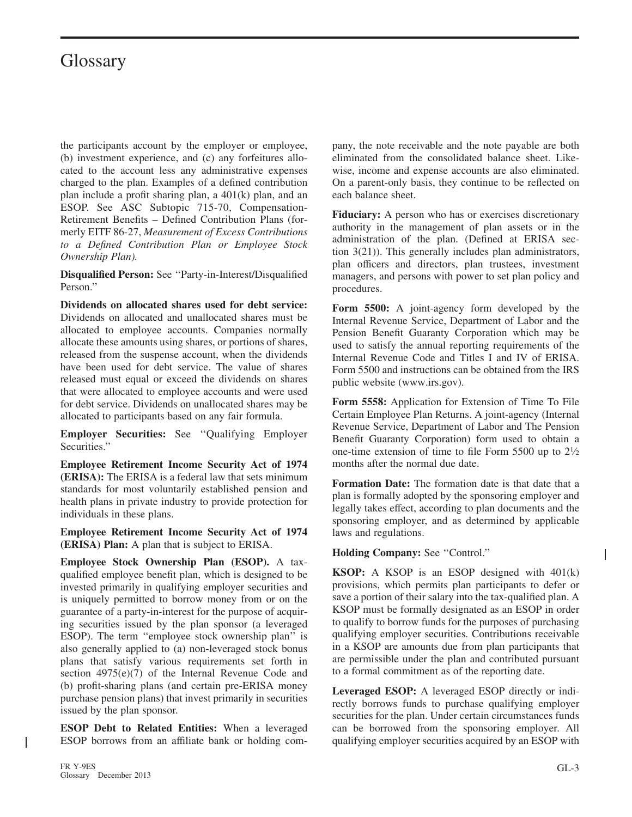the participants account by the employer or employee, (b) investment experience, and (c) any forfeitures allocated to the account less any administrative expenses charged to the plan. Examples of a defined contribution plan include a profit sharing plan, a 401(k) plan, and an ESOP. See ASC Subtopic 715-70, Compensation-Retirement Benefits – Defined Contribution Plans (formerly EITF 86-27, *Measurement of Excess Contributions to a Defined Contribution Plan or Employee Stock Ownership Plan).*

**Disqualified Person:** See ''Party-in-Interest/Disqualified Person.''

**Dividends on allocated shares used for debt service:** Dividends on allocated and unallocated shares must be allocated to employee accounts. Companies normally allocate these amounts using shares, or portions of shares, released from the suspense account, when the dividends have been used for debt service. The value of shares released must equal or exceed the dividends on shares that were allocated to employee accounts and were used for debt service. Dividends on unallocated shares may be allocated to participants based on any fair formula.

**Employer Securities:** See ''Qualifying Employer Securities.''

**Employee Retirement Income Security Act of 1974 (ERISA):** The ERISA is a federal law that sets minimum standards for most voluntarily established pension and health plans in private industry to provide protection for individuals in these plans.

**Employee Retirement Income Security Act of 1974 (ERISA) Plan:** A plan that is subject to ERISA.

**Employee Stock Ownership Plan (ESOP).** A taxqualified employee benefit plan, which is designed to be invested primarily in qualifying employer securities and is uniquely permitted to borrow money from or on the guarantee of a party-in-interest for the purpose of acquiring securities issued by the plan sponsor (a leveraged ESOP). The term ''employee stock ownership plan'' is also generally applied to (a) non-leveraged stock bonus plans that satisfy various requirements set forth in section 4975(e)(7) of the Internal Revenue Code and (b) profit-sharing plans (and certain pre-ERISA money purchase pension plans) that invest primarily in securities issued by the plan sponsor.

**ESOP Debt to Related Entities:** When a leveraged ESOP borrows from an affiliate bank or holding company, the note receivable and the note payable are both eliminated from the consolidated balance sheet. Likewise, income and expense accounts are also eliminated. On a parent-only basis, they continue to be reflected on each balance sheet.

**Fiduciary:** A person who has or exercises discretionary authority in the management of plan assets or in the administration of the plan. (Defined at ERISA section 3(21)). This generally includes plan administrators, plan officers and directors, plan trustees, investment managers, and persons with power to set plan policy and procedures.

**Form 5500:** A joint-agency form developed by the Internal Revenue Service, Department of Labor and the Pension Benefit Guaranty Corporation which may be used to satisfy the annual reporting requirements of the Internal Revenue Code and Titles I and IV of ERISA. Form 5500 and instructions can be obtained from the IRS public website (www.irs.gov).

**Form 5558:** Application for Extension of Time To File Certain Employee Plan Returns. A joint-agency (Internal Revenue Service, Department of Labor and The Pension Benefit Guaranty Corporation) form used to obtain a one-time extension of time to file Form 5500 up to 2<sup>1</sup>/<sub>2</sub> months after the normal due date.

**Formation Date:** The formation date is that date that a plan is formally adopted by the sponsoring employer and legally takes effect, according to plan documents and the sponsoring employer, and as determined by applicable laws and regulations.

**Holding Company:** See ''Control.''

**KSOP:** A KSOP is an ESOP designed with 401(k) provisions, which permits plan participants to defer or save a portion of their salary into the tax-qualified plan. A KSOP must be formally designated as an ESOP in order to qualify to borrow funds for the purposes of purchasing qualifying employer securities. Contributions receivable in a KSOP are amounts due from plan participants that are permissible under the plan and contributed pursuant to a formal commitment as of the reporting date.

**Leveraged ESOP:** A leveraged ESOP directly or indirectly borrows funds to purchase qualifying employer securities for the plan. Under certain circumstances funds can be borrowed from the sponsoring employer. All qualifying employer securities acquired by an ESOP with

I

I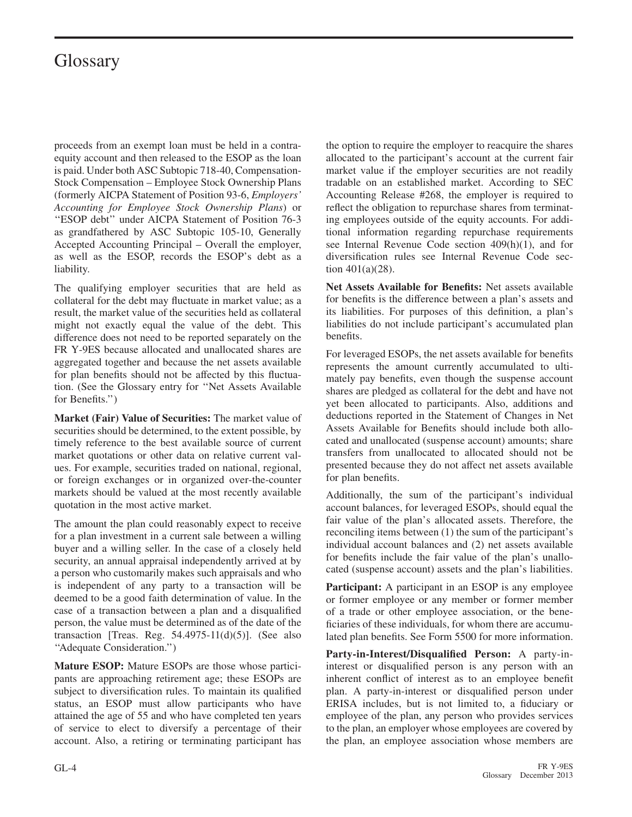proceeds from an exempt loan must be held in a contraequity account and then released to the ESOP as the loan is paid. Under both ASC Subtopic 718-40, Compensation-Stock Compensation – Employee Stock Ownership Plans (formerly AICPA Statement of Position 93-6, *Employers' Accounting for Employee Stock Ownership Plans*) or ''ESOP debt'' under AICPA Statement of Position 76-3 as grandfathered by ASC Subtopic 105-10, Generally Accepted Accounting Principal – Overall the employer, as well as the ESOP, records the ESOP's debt as a liability.

The qualifying employer securities that are held as collateral for the debt may fluctuate in market value; as a result, the market value of the securities held as collateral might not exactly equal the value of the debt. This difference does not need to be reported separately on the FR Y-9ES because allocated and unallocated shares are aggregated together and because the net assets available for plan benefits should not be affected by this fluctuation. (See the Glossary entry for ''Net Assets Available for Benefits.'')

**Market (Fair) Value of Securities:** The market value of securities should be determined, to the extent possible, by timely reference to the best available source of current market quotations or other data on relative current values. For example, securities traded on national, regional, or foreign exchanges or in organized over-the-counter markets should be valued at the most recently available quotation in the most active market.

The amount the plan could reasonably expect to receive for a plan investment in a current sale between a willing buyer and a willing seller. In the case of a closely held security, an annual appraisal independently arrived at by a person who customarily makes such appraisals and who is independent of any party to a transaction will be deemed to be a good faith determination of value. In the case of a transaction between a plan and a disqualified person, the value must be determined as of the date of the transaction [Treas. Reg.  $54.4975-11(d)(5)$ ]. (See also ''Adequate Consideration.'')

**Mature ESOP:** Mature ESOPs are those whose participants are approaching retirement age; these ESOPs are subject to diversification rules. To maintain its qualified status, an ESOP must allow participants who have attained the age of 55 and who have completed ten years of service to elect to diversify a percentage of their account. Also, a retiring or terminating participant has the option to require the employer to reacquire the shares allocated to the participant's account at the current fair market value if the employer securities are not readily tradable on an established market. According to SEC Accounting Release #268, the employer is required to reflect the obligation to repurchase shares from terminating employees outside of the equity accounts. For additional information regarding repurchase requirements see Internal Revenue Code section 409(h)(1), and for diversification rules see Internal Revenue Code section 401(a)(28).

**Net Assets Available for Benefits:** Net assets available for benefits is the difference between a plan's assets and its liabilities. For purposes of this definition, a plan's liabilities do not include participant's accumulated plan benefits.

For leveraged ESOPs, the net assets available for benefits represents the amount currently accumulated to ultimately pay benefits, even though the suspense account shares are pledged as collateral for the debt and have not yet been allocated to participants. Also, additions and deductions reported in the Statement of Changes in Net Assets Available for Benefits should include both allocated and unallocated (suspense account) amounts; share transfers from unallocated to allocated should not be presented because they do not affect net assets available for plan benefits.

Additionally, the sum of the participant's individual account balances, for leveraged ESOPs, should equal the fair value of the plan's allocated assets. Therefore, the reconciling items between (1) the sum of the participant's individual account balances and (2) net assets available for benefits include the fair value of the plan's unallocated (suspense account) assets and the plan's liabilities.

**Participant:** A participant in an ESOP is any employee or former employee or any member or former member of a trade or other employee association, or the beneficiaries of these individuals, for whom there are accumulated plan benefits. See Form 5500 for more information.

**Party-in-Interest/Disqualified Person:** A party-ininterest or disqualified person is any person with an inherent conflict of interest as to an employee benefit plan. A party-in-interest or disqualified person under ERISA includes, but is not limited to, a fiduciary or employee of the plan, any person who provides services to the plan, an employer whose employees are covered by the plan, an employee association whose members are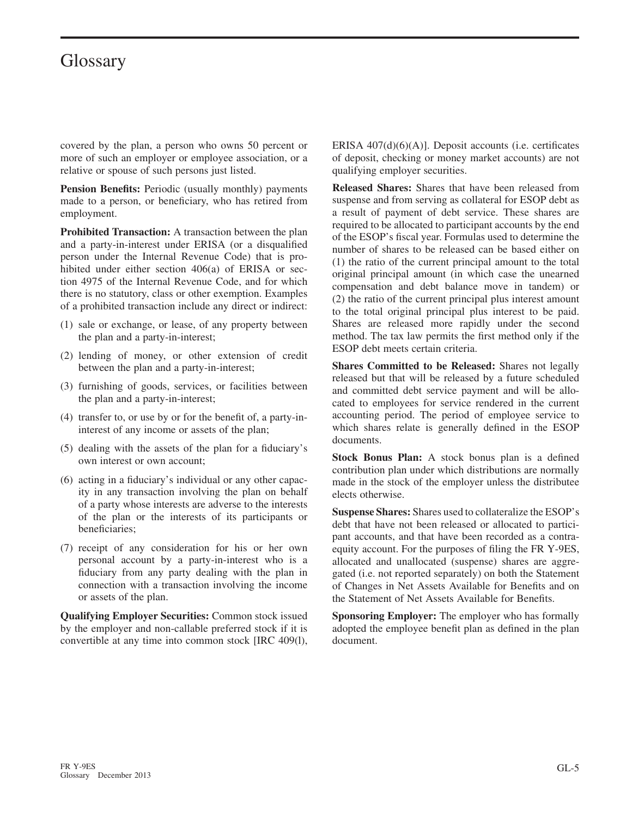covered by the plan, a person who owns 50 percent or more of such an employer or employee association, or a relative or spouse of such persons just listed.

**Pension Benefits:** Periodic (usually monthly) payments made to a person, or beneficiary, who has retired from employment.

**Prohibited Transaction:** A transaction between the plan and a party-in-interest under ERISA (or a disqualified person under the Internal Revenue Code) that is prohibited under either section 406(a) of ERISA or section 4975 of the Internal Revenue Code, and for which there is no statutory, class or other exemption. Examples of a prohibited transaction include any direct or indirect:

- (1) sale or exchange, or lease, of any property between the plan and a party-in-interest;
- (2) lending of money, or other extension of credit between the plan and a party-in-interest;
- (3) furnishing of goods, services, or facilities between the plan and a party-in-interest;
- (4) transfer to, or use by or for the benefit of, a party-ininterest of any income or assets of the plan;
- (5) dealing with the assets of the plan for a fiduciary's own interest or own account;
- (6) acting in a fiduciary's individual or any other capacity in any transaction involving the plan on behalf of a party whose interests are adverse to the interests of the plan or the interests of its participants or beneficiaries;
- (7) receipt of any consideration for his or her own personal account by a party-in-interest who is a fiduciary from any party dealing with the plan in connection with a transaction involving the income or assets of the plan.

**Qualifying Employer Securities:** Common stock issued by the employer and non-callable preferred stock if it is convertible at any time into common stock [IRC 409(l), ERISA 407(d)(6)(A)]. Deposit accounts (i.e. certificates of deposit, checking or money market accounts) are not qualifying employer securities.

**Released Shares:** Shares that have been released from suspense and from serving as collateral for ESOP debt as a result of payment of debt service. These shares are required to be allocated to participant accounts by the end of the ESOP's fiscal year. Formulas used to determine the number of shares to be released can be based either on (1) the ratio of the current principal amount to the total original principal amount (in which case the unearned compensation and debt balance move in tandem) or (2) the ratio of the current principal plus interest amount to the total original principal plus interest to be paid. Shares are released more rapidly under the second method. The tax law permits the first method only if the ESOP debt meets certain criteria.

**Shares Committed to be Released:** Shares not legally released but that will be released by a future scheduled and committed debt service payment and will be allocated to employees for service rendered in the current accounting period. The period of employee service to which shares relate is generally defined in the ESOP documents.

**Stock Bonus Plan:** A stock bonus plan is a defined contribution plan under which distributions are normally made in the stock of the employer unless the distributee elects otherwise.

**Suspense Shares:** Shares used to collateralize the ESOP's debt that have not been released or allocated to participant accounts, and that have been recorded as a contraequity account. For the purposes of filing the FR Y-9ES, allocated and unallocated (suspense) shares are aggregated (i.e. not reported separately) on both the Statement of Changes in Net Assets Available for Benefits and on the Statement of Net Assets Available for Benefits.

**Sponsoring Employer:** The employer who has formally adopted the employee benefit plan as defined in the plan document.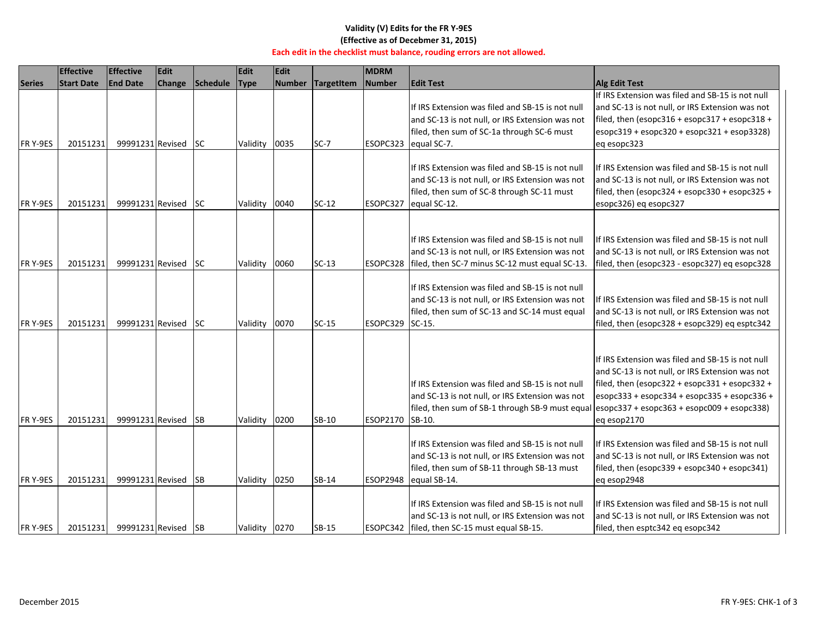#### **Validity (V) Edits for the FR Y‐9ES (Effective as of Decebmer 31, 2015)**

#### **Each edit in the checklist must balance, rouding errors are not allowed.**

|                | <b>Effective</b>  | <b>Effective</b>    | <b>Edit</b> |           | <b>Edit</b>   | <b>Edit</b> |              | <b>MDRM</b> |                                                                                                                                                                    |                                                                                                                                                                                                                                                                            |
|----------------|-------------------|---------------------|-------------|-----------|---------------|-------------|--------------|-------------|--------------------------------------------------------------------------------------------------------------------------------------------------------------------|----------------------------------------------------------------------------------------------------------------------------------------------------------------------------------------------------------------------------------------------------------------------------|
| <b>Series</b>  | <b>Start Date</b> | <b>End Date</b>     | Change      | Schedule  | <b>Type</b>   | Number      | TargetItem   | Number      | <b>Edit Test</b>                                                                                                                                                   | <b>Alg Edit Test</b>                                                                                                                                                                                                                                                       |
|                |                   |                     |             |           |               |             |              |             | If IRS Extension was filed and SB-15 is not null<br>and SC-13 is not null, or IRS Extension was not<br>filed, then sum of SC-1a through SC-6 must                  | If IRS Extension was filed and SB-15 is not null<br>and SC-13 is not null, or IRS Extension was not<br>filed, then (esopc316 + esopc317 + esopc318 +<br>$esopc319 + esopc320 + esopc321 + esop3328)$                                                                       |
| FR Y-9ES       | 20151231          | 99991231 Revised    |             | <b>SC</b> | Validity      | 0035        | $SC-7$       |             | ESOPC323 equal SC-7.                                                                                                                                               | eq esopc323                                                                                                                                                                                                                                                                |
| FR Y-9ES       | 20151231          | 99991231 Revised    |             | ISC.      | Validity      | 0040        | $SC-12$      | ESOPC327    | If IRS Extension was filed and SB-15 is not null<br>and SC-13 is not null, or IRS Extension was not<br>filed, then sum of SC-8 through SC-11 must<br>equal SC-12.  | If IRS Extension was filed and SB-15 is not null<br>and SC-13 is not null, or IRS Extension was not<br>filed, then (esopc324 + esopc330 + esopc325 +<br>esopc326) eq esopc327                                                                                              |
| FR Y-9ES       | 20151231          | 99991231 Revised    |             | <b>SC</b> | Validity      | 0060        | $SC-13$      | ESOPC328    | If IRS Extension was filed and SB-15 is not null<br>and SC-13 is not null, or IRS Extension was not<br>filed, then SC-7 minus SC-12 must equal SC-13.              | If IRS Extension was filed and SB-15 is not null<br>and SC-13 is not null, or IRS Extension was not<br>filed, then (esopc323 - esopc327) eq esopc328                                                                                                                       |
| FR Y-9ES       | 20151231          | 99991231 Revised    |             | lsc       | Validity      | 0070        | $SC-15$      | ESOPC329    | If IRS Extension was filed and SB-15 is not null<br>and SC-13 is not null, or IRS Extension was not<br>filed, then sum of SC-13 and SC-14 must equal<br>$SC-15$ .  | If IRS Extension was filed and SB-15 is not null<br>and SC-13 is not null, or IRS Extension was not<br>filed, then (esopc328 + esopc329) eq esptc342                                                                                                                       |
| FR Y-9ES       | 20151231          | 99991231 Revised    |             | <b>SB</b> | Validity      | 0200        | SB-10        | ESOP2170    | If IRS Extension was filed and SB-15 is not null<br>and SC-13 is not null, or IRS Extension was not<br>filed, then sum of SB-1 through SB-9 must equal<br>SB-10.   | If IRS Extension was filed and SB-15 is not null<br>and SC-13 is not null, or IRS Extension was not<br>filed, then (esopc322 + esopc331 + esopc332 +<br>esopc333 + esopc334 + esopc335 + esopc336 +<br>$\left  \frac{1}{2}$ esopc363 + esopc009 + esopc338)<br>eq esop2170 |
| <b>FRY-9ES</b> | 20151231          | 99991231 Revised    |             | <b>SB</b> | Validity      | 0250        | SB-14        | ESOP2948    | If IRS Extension was filed and SB-15 is not null<br>and SC-13 is not null, or IRS Extension was not<br>filed, then sum of SB-11 through SB-13 must<br>equal SB-14. | If IRS Extension was filed and SB-15 is not null<br>and SC-13 is not null, or IRS Extension was not<br>filed, then (esopc339 + esopc340 + esopc341)<br>eq esop2948                                                                                                         |
| FR Y-9ES       | 20151231          | 99991231 Revised SB |             |           | Validity 0270 |             | <b>SB-15</b> |             | If IRS Extension was filed and SB-15 is not null<br>and SC-13 is not null, or IRS Extension was not<br>ESOPC342   filed, then SC-15 must equal SB-15.              | If IRS Extension was filed and SB-15 is not null<br>and SC-13 is not null, or IRS Extension was not<br>filed, then esptc342 eq esopc342                                                                                                                                    |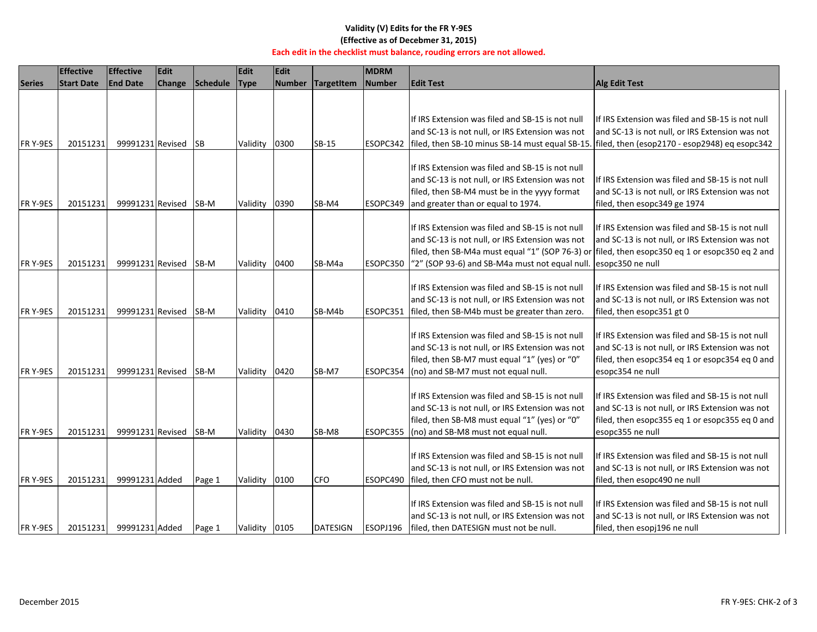#### **Validity (V) Edits for the FR Y‐9ES (Effective as of Decebmer 31, 2015)**

#### **Each edit in the checklist must balance, rouding errors are not allowed.**

|                | <b>Effective</b>  | <b>Effective</b>    | <b>Edit</b> |                 | Edit          | <b>Edit</b> |                   | <b>MDRM</b>   |                                                                                                                                                                                                                                                         |                                                                                                                                                                           |
|----------------|-------------------|---------------------|-------------|-----------------|---------------|-------------|-------------------|---------------|---------------------------------------------------------------------------------------------------------------------------------------------------------------------------------------------------------------------------------------------------------|---------------------------------------------------------------------------------------------------------------------------------------------------------------------------|
| <b>Series</b>  | <b>Start Date</b> | <b>End Date</b>     | Change      | <b>Schedule</b> | Type          |             | Number TargetItem | <b>Number</b> | <b>Edit Test</b>                                                                                                                                                                                                                                        | <b>Alg Edit Test</b>                                                                                                                                                      |
|                |                   |                     |             |                 |               |             |                   |               |                                                                                                                                                                                                                                                         |                                                                                                                                                                           |
|                |                   |                     |             |                 |               |             |                   |               | If IRS Extension was filed and SB-15 is not null                                                                                                                                                                                                        | If IRS Extension was filed and SB-15 is not null                                                                                                                          |
|                |                   |                     |             |                 |               |             |                   |               | and SC-13 is not null, or IRS Extension was not                                                                                                                                                                                                         | and SC-13 is not null, or IRS Extension was not                                                                                                                           |
| FR Y-9ES       | 20151231          | 99991231 Revised SB |             |                 | Validity      | 0300        | $SB-15$           | ESOPC342      | filed, then SB-10 minus SB-14 must equal SB-15. filed, then (esop2170 - esop2948) eq esopc342                                                                                                                                                           |                                                                                                                                                                           |
| FR Y-9ES       | 20151231          | 99991231 Revised    |             | SB-M            | Validity      | 0390        | SB-M4             | ESOPC349      | If IRS Extension was filed and SB-15 is not null<br>and SC-13 is not null, or IRS Extension was not<br>filed, then SB-M4 must be in the yyyy format<br>and greater than or equal to 1974.                                                               | If IRS Extension was filed and SB-15 is not null<br>and SC-13 is not null, or IRS Extension was not<br>filed, then esopc349 ge 1974                                       |
| FR Y-9ES       | 20151231          | 99991231 Revised    |             | SB-M            | Validity      | 0400        | SB-M4a            | ESOPC350      | If IRS Extension was filed and SB-15 is not null<br>and SC-13 is not null, or IRS Extension was not<br>filed, then SB-M4a must equal "1" (SOP 76-3) or filed, then esopc350 eq 1 or esopc350 eq 2 and<br>"2" (SOP 93-6) and SB-M4a must not equal null. | If IRS Extension was filed and SB-15 is not null<br>and SC-13 is not null, or IRS Extension was not<br>esopc350 ne null                                                   |
| FR Y-9ES       | 20151231          | 99991231 Revised    |             | SB-M            | Validity      | 0410        | SB-M4b            | ESOPC351      | If IRS Extension was filed and SB-15 is not null<br>and SC-13 is not null, or IRS Extension was not<br>filed, then SB-M4b must be greater than zero.                                                                                                    | If IRS Extension was filed and SB-15 is not null<br>and SC-13 is not null, or IRS Extension was not<br>filed, then esopc351 gt 0                                          |
| <b>FRY-9ES</b> | 20151231          | 99991231 Revised    |             | <b>SB-M</b>     | Validity 0420 |             | SB-M7             | ESOPC354      | If IRS Extension was filed and SB-15 is not null<br>and SC-13 is not null, or IRS Extension was not<br>filed, then SB-M7 must equal "1" (yes) or "0"<br>(no) and SB-M7 must not equal null.                                                             | If IRS Extension was filed and SB-15 is not null<br>and SC-13 is not null, or IRS Extension was not<br>filed, then esopc354 eq 1 or esopc354 eq 0 and<br>esopc354 ne null |
| FR Y-9ES       | 20151231          | 99991231 Revised    |             | <b>SB-M</b>     | Validity 0430 |             | SB-M8             | ESOPC355      | If IRS Extension was filed and SB-15 is not null<br>and SC-13 is not null, or IRS Extension was not<br>filed, then SB-M8 must equal "1" (yes) or "0"<br>(no) and SB-M8 must not equal null.                                                             | If IRS Extension was filed and SB-15 is not null<br>and SC-13 is not null, or IRS Extension was not<br>filed, then esopc355 eq 1 or esopc355 eq 0 and<br>esopc355 ne null |
| <b>FRY-9ES</b> | 20151231          | 99991231 Added      |             | Page 1          | Validity      | 0100        | <b>CFO</b>        | ESOPC490      | If IRS Extension was filed and SB-15 is not null<br>and SC-13 is not null, or IRS Extension was not<br>filed, then CFO must not be null.                                                                                                                | If IRS Extension was filed and SB-15 is not null<br>and SC-13 is not null, or IRS Extension was not<br>filed, then esopc490 ne null                                       |
| FR Y-9ES       | 20151231          | 99991231 Added      |             | Page 1          | Validity 0105 |             | <b>DATESIGN</b>   | ESOPJ196      | If IRS Extension was filed and SB-15 is not null<br>and SC-13 is not null, or IRS Extension was not<br>filed, then DATESIGN must not be null.                                                                                                           | If IRS Extension was filed and SB-15 is not null<br>and SC-13 is not null, or IRS Extension was not<br>filed, then esopj196 ne null                                       |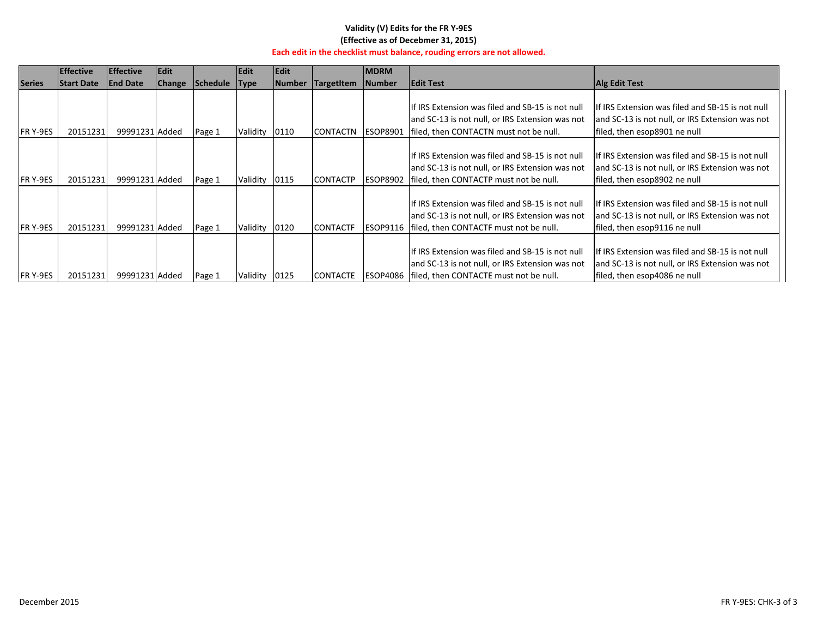### **Validity (V) Edits for the FR Y‐9ES (Effective as of Decebmer 31, 2015)**

#### **Each edit in the checklist must balance, rouding errors are not allowed.**

|                | <b>Effective</b>  | <b>Effective</b> | <b>Edit</b>   |                 | Edit          | <b>Edit</b> |                   | <b>MDRM</b>     |                                                  |                                                   |
|----------------|-------------------|------------------|---------------|-----------------|---------------|-------------|-------------------|-----------------|--------------------------------------------------|---------------------------------------------------|
| <b>Series</b>  | <b>Start Date</b> | <b>End Date</b>  | <b>Change</b> | <b>Schedule</b> | Type          | Number      | <b>TargetItem</b> | Number          | <b>Edit Test</b>                                 | <b>Alg Edit Test</b>                              |
|                |                   |                  |               |                 |               |             |                   |                 |                                                  |                                                   |
|                |                   |                  |               |                 |               |             |                   |                 | If IRS Extension was filed and SB-15 is not null | If IRS Extension was filed and SB-15 is not null  |
|                |                   |                  |               |                 |               |             |                   |                 | and SC-13 is not null, or IRS Extension was not  | and SC-13 is not null, or IRS Extension was not   |
| FR Y-9ES       | 20151231          | 99991231 Added   |               | Page 1          | Validity 0110 |             | CONTACTN ESOP8901 |                 | filed, then CONTACTN must not be null.           | filed, then esop8901 ne null                      |
|                |                   |                  |               |                 |               |             |                   |                 |                                                  |                                                   |
|                |                   |                  |               |                 |               |             |                   |                 | If IRS Extension was filed and SB-15 is not null | llf IRS Extension was filed and SB-15 is not null |
|                |                   |                  |               |                 |               |             |                   |                 | and SC-13 is not null, or IRS Extension was not  | and SC-13 is not null, or IRS Extension was not   |
| FR Y-9ES       | 20151231          | 99991231 Added   |               | Page 1          | Validity 0115 |             | <b>CONTACTP</b>   | <b>ESOP8902</b> | filed, then CONTACTP must not be null.           | filed, then esop8902 ne null                      |
|                |                   |                  |               |                 |               |             |                   |                 |                                                  |                                                   |
|                |                   |                  |               |                 |               |             |                   |                 | If IRS Extension was filed and SB-15 is not null | If IRS Extension was filed and SB-15 is not null  |
|                |                   |                  |               |                 |               |             |                   |                 | and SC-13 is not null, or IRS Extension was not  | and SC-13 is not null, or IRS Extension was not   |
| <b>FRY-9ES</b> | 20151231          | 99991231 Added   |               | Page 1          | Validity      | 0120        | <b>CONTACTF</b>   | ESOP9116        | filed, then CONTACTF must not be null.           | filed, then esop9116 ne null                      |
|                |                   |                  |               |                 |               |             |                   |                 |                                                  |                                                   |
|                |                   |                  |               |                 |               |             |                   |                 | If IRS Extension was filed and SB-15 is not null | If IRS Extension was filed and SB-15 is not null  |
|                |                   |                  |               |                 |               |             |                   |                 | and SC-13 is not null, or IRS Extension was not  | and SC-13 is not null, or IRS Extension was not   |
| FR Y-9ES       | 20151231          | 99991231 Added   |               | Page 1          | Validity 0125 |             | <b>CONTACTE</b>   | ESOP4086        | filed, then CONTACTE must not be null.           | filed, then esop4086 ne null                      |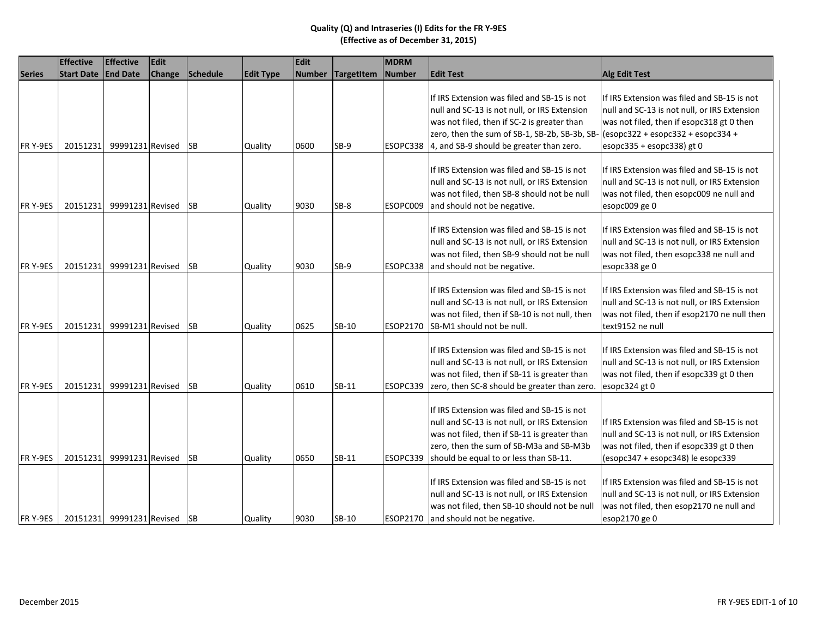|               | <b>Effective</b>  | <b>Effective</b>             | Edit   |            |                  | Edit          |                   | <b>MDRM</b> |                                                                                                                                                                                                                                                  |                                                                                                                                                                                                                       |
|---------------|-------------------|------------------------------|--------|------------|------------------|---------------|-------------------|-------------|--------------------------------------------------------------------------------------------------------------------------------------------------------------------------------------------------------------------------------------------------|-----------------------------------------------------------------------------------------------------------------------------------------------------------------------------------------------------------------------|
| <b>Series</b> | <b>Start Date</b> | <b>End Date</b>              | Change | Schedule   | <b>Edit Type</b> | <b>Number</b> | <b>TargetItem</b> | Number      | <b>Edit Test</b>                                                                                                                                                                                                                                 | <b>Alg Edit Test</b>                                                                                                                                                                                                  |
| FR Y-9ES      | 20151231          | 99991231 Revised             |        | <b>SB</b>  | Quality          | 0600          | $SB-9$            |             | If IRS Extension was filed and SB-15 is not<br>null and SC-13 is not null, or IRS Extension<br>was not filed, then if SC-2 is greater than<br>zero, then the sum of SB-1, SB-2b, SB-3b, SB-<br>ESOPC338 4, and SB-9 should be greater than zero. | If IRS Extension was filed and SB-15 is not<br>null and SC-13 is not null, or IRS Extension<br>was not filed, then if esopc318 gt 0 then<br>$\sqrt{2}$ (esopc322 + esopc332 + esopc334 +<br>esopc335 + esopc338) gt 0 |
| FR Y-9ES      | 20151231          | 99991231 Revised             |        | <b>SB</b>  | Quality          | 9030          | SB-8              | ESOPC009    | If IRS Extension was filed and SB-15 is not<br>null and SC-13 is not null, or IRS Extension<br>was not filed, then SB-8 should not be null<br>and should not be negative.                                                                        | If IRS Extension was filed and SB-15 is not<br>null and SC-13 is not null, or IRS Extension<br>was not filed, then esopc009 ne null and<br>esopc009 ge 0                                                              |
| FR Y-9ES      | 20151231          | 99991231 Revised             |        | <b>SB</b>  | Quality          | 9030          | $SB-9$            |             | If IRS Extension was filed and SB-15 is not<br>null and SC-13 is not null, or IRS Extension<br>was not filed, then SB-9 should not be null<br>ESOPC338 and should not be negative.                                                               | If IRS Extension was filed and SB-15 is not<br>null and SC-13 is not null, or IRS Extension<br>was not filed, then esopc338 ne null and<br>esopc338 ge 0                                                              |
| FR Y-9ES      | 20151231          | 99991231 Revised             |        | <b>ISB</b> | Quality          | 0625          | SB-10             |             | If IRS Extension was filed and SB-15 is not<br>null and SC-13 is not null, or IRS Extension<br>was not filed, then if SB-10 is not null, then<br>ESOP2170 SB-M1 should not be null.                                                              | If IRS Extension was filed and SB-15 is not<br>null and SC-13 is not null, or IRS Extension<br>was not filed, then if esop2170 ne null then<br>text9152 ne null                                                       |
| FR Y-9ES      | 20151231          | 99991231 Revised             |        | <b>SB</b>  | Quality          | 0610          | SB-11             | ESOPC339    | If IRS Extension was filed and SB-15 is not<br>null and SC-13 is not null, or IRS Extension<br>was not filed, then if SB-11 is greater than<br>zero, then SC-8 should be greater than zero.                                                      | If IRS Extension was filed and SB-15 is not<br>null and SC-13 is not null, or IRS Extension<br>was not filed, then if esopc339 gt 0 then<br>esopc324 gt 0                                                             |
| FR Y-9ES      | 20151231          | 99991231 Revised             |        | <b>SB</b>  | Quality          | 0650          | SB-11             | ESOPC339    | If IRS Extension was filed and SB-15 is not<br>null and SC-13 is not null, or IRS Extension<br>was not filed, then if SB-11 is greater than<br>zero, then the sum of SB-M3a and SB-M3b<br>should be equal to or less than SB-11.                 | If IRS Extension was filed and SB-15 is not<br>null and SC-13 is not null, or IRS Extension<br>was not filed, then if esopc339 gt 0 then<br>$\vert$ (esopc347 + esopc348) le esopc339                                 |
| FR Y-9ES      |                   | 20151231 99991231 Revised SB |        |            | Quality          | 9030          | $SB-10$           |             | If IRS Extension was filed and SB-15 is not<br>null and SC-13 is not null, or IRS Extension<br>was not filed, then SB-10 should not be null<br>ESOP2170 and should not be negative.                                                              | If IRS Extension was filed and SB-15 is not<br>null and SC-13 is not null, or IRS Extension<br>was not filed, then esop2170 ne null and<br>esop2170 ge 0                                                              |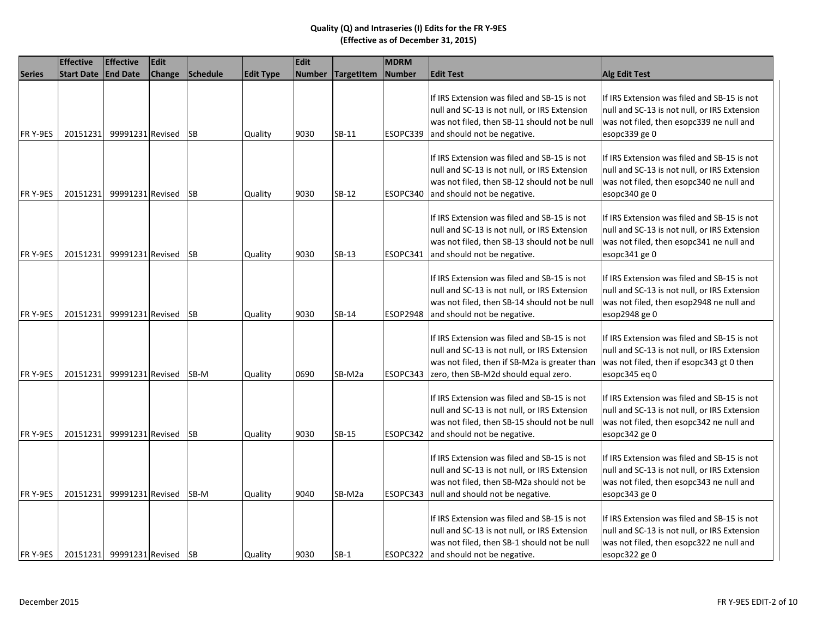|               | <b>Effective</b>             | <b>Effective</b> | <b>Edit</b>   |           |                  | Edit          |                   | <b>MDRM</b>   |                                                                                                                                                                                      |                                                                                                                                                           |
|---------------|------------------------------|------------------|---------------|-----------|------------------|---------------|-------------------|---------------|--------------------------------------------------------------------------------------------------------------------------------------------------------------------------------------|-----------------------------------------------------------------------------------------------------------------------------------------------------------|
| <b>Series</b> | <b>Start Date</b>            | <b>End Date</b>  | <b>Change</b> | Schedule  | <b>Edit Type</b> | <b>Number</b> | <b>TargetItem</b> | <b>Number</b> | <b>Edit Test</b>                                                                                                                                                                     | <b>Alg Edit Test</b>                                                                                                                                      |
| FR Y-9ES      | 20151231                     | 99991231 Revised |               | <b>SB</b> | Quality          | 9030          | SB-11             | ESOPC339      | If IRS Extension was filed and SB-15 is not<br>null and SC-13 is not null, or IRS Extension<br>was not filed, then SB-11 should not be null<br>and should not be negative.           | If IRS Extension was filed and SB-15 is not<br>null and SC-13 is not null, or IRS Extension<br>was not filed, then esopc339 ne null and<br>esopc339 ge 0  |
| FR Y-9ES      | 20151231                     | 99991231 Revised |               | <b>SB</b> | Quality          | 9030          | SB-12             | ESOPC340      | If IRS Extension was filed and SB-15 is not<br>null and SC-13 is not null, or IRS Extension<br>was not filed, then SB-12 should not be null<br>and should not be negative.           | If IRS Extension was filed and SB-15 is not<br>null and SC-13 is not null, or IRS Extension<br>was not filed, then esopc340 ne null and<br>esopc340 ge 0  |
| FR Y-9ES      | 20151231                     | 99991231 Revised |               | <b>SB</b> | Quality          | 9030          | SB-13             | ESOPC341      | If IRS Extension was filed and SB-15 is not<br>null and SC-13 is not null, or IRS Extension<br>was not filed, then SB-13 should not be null<br>and should not be negative.           | If IRS Extension was filed and SB-15 is not<br>null and SC-13 is not null, or IRS Extension<br>was not filed, then esopc341 ne null and<br>esopc341 ge 0  |
| FR Y-9ES      | 20151231                     | 99991231 Revised |               | <b>SB</b> | Quality          | 9030          | SB-14             | ESOP2948      | If IRS Extension was filed and SB-15 is not<br>null and SC-13 is not null, or IRS Extension<br>was not filed, then SB-14 should not be null<br>and should not be negative.           | If IRS Extension was filed and SB-15 is not<br>null and SC-13 is not null, or IRS Extension<br>was not filed, then esop2948 ne null and<br>esop2948 ge 0  |
| FR Y-9ES      | 20151231                     | 99991231 Revised |               | SB-M      | Quality          | 0690          | SB-M2a            | ESOPC343      | If IRS Extension was filed and SB-15 is not<br>null and SC-13 is not null, or IRS Extension<br>was not filed, then if SB-M2a is greater than<br>zero, then SB-M2d should equal zero. | If IRS Extension was filed and SB-15 is not<br>null and SC-13 is not null, or IRS Extension<br>was not filed, then if esopc343 gt 0 then<br>esopc345 eg 0 |
| FR Y-9ES      | 20151231                     | 99991231 Revised |               | <b>SB</b> | Quality          | 9030          | $SB-15$           | ESOPC342      | If IRS Extension was filed and SB-15 is not<br>null and SC-13 is not null, or IRS Extension<br>was not filed, then SB-15 should not be null<br>and should not be negative.           | If IRS Extension was filed and SB-15 is not<br>null and SC-13 is not null, or IRS Extension<br>was not filed, then esopc342 ne null and<br>esopc342 ge 0  |
| FR Y-9ES      | 20151231                     | 99991231 Revised |               | SB-M      | Quality          | 9040          | SB-M2a            | ESOPC343      | If IRS Extension was filed and SB-15 is not<br>null and SC-13 is not null, or IRS Extension<br>was not filed, then SB-M2a should not be<br>null and should not be negative.          | If IRS Extension was filed and SB-15 is not<br>null and SC-13 is not null, or IRS Extension<br>was not filed, then esopc343 ne null and<br>esopc343 ge 0  |
| FR Y-9ES      | 20151231 99991231 Revised SB |                  |               |           | Quality          | 9030          | $SB-1$            |               | If IRS Extension was filed and SB-15 is not<br>null and SC-13 is not null, or IRS Extension<br>was not filed, then SB-1 should not be null<br>ESOPC322 and should not be negative.   | If IRS Extension was filed and SB-15 is not<br>null and SC-13 is not null, or IRS Extension<br>was not filed, then esopc322 ne null and<br>esopc322 ge 0  |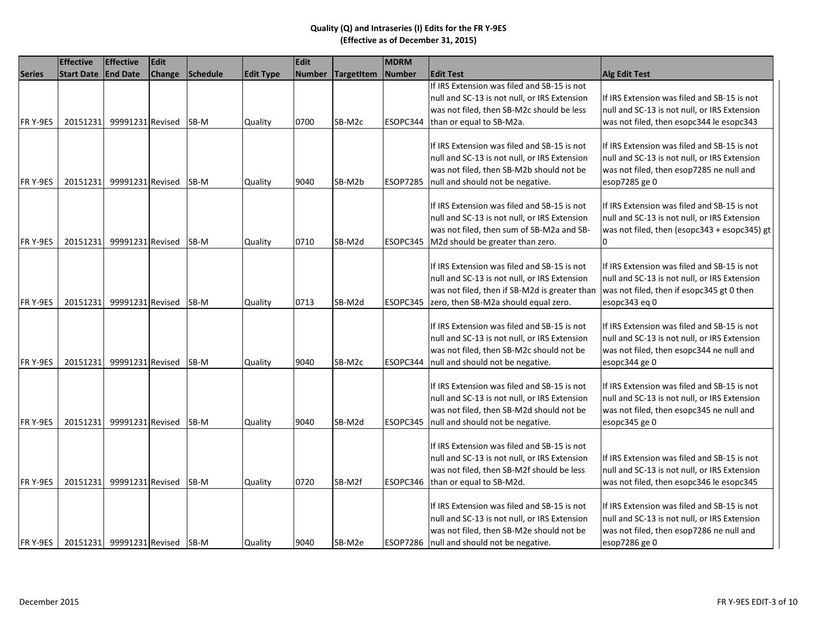|               | <b>Effective</b>             | <b>Effective</b>               | Edit          |             |                  | Edit          |            | MDRM            |                                                                                                                                                                                        |                                                                                                                                                           |
|---------------|------------------------------|--------------------------------|---------------|-------------|------------------|---------------|------------|-----------------|----------------------------------------------------------------------------------------------------------------------------------------------------------------------------------------|-----------------------------------------------------------------------------------------------------------------------------------------------------------|
| <b>Series</b> | <b>Start Date   End Date</b> |                                | <b>Change</b> | Schedule    | <b>Edit Type</b> | <b>Number</b> | TargetItem | <b>Number</b>   | <b>Edit Test</b>                                                                                                                                                                       | Alg Edit Test                                                                                                                                             |
| FR Y-9ES      | 20151231                     | 99991231 Revised               |               | SB-M        | Quality          | 0700          | SB-M2c     | ESOPC344        | If IRS Extension was filed and SB-15 is not<br>null and SC-13 is not null, or IRS Extension<br>was not filed, then SB-M2c should be less<br>than or equal to SB-M2a.                   | If IRS Extension was filed and SB-15 is not<br>null and SC-13 is not null, or IRS Extension<br>was not filed, then esopc344 le esopc343                   |
| FR Y-9ES      | 20151231                     | 99991231 Revised               |               | SB-M        | Quality          | 9040          | SB-M2b     | <b>ESOP7285</b> | If IRS Extension was filed and SB-15 is not<br>null and SC-13 is not null, or IRS Extension<br>was not filed, then SB-M2b should not be<br>null and should not be negative.            | If IRS Extension was filed and SB-15 is not<br>null and SC-13 is not null, or IRS Extension<br>was not filed, then esop7285 ne null and<br>esop7285 ge 0  |
| FR Y-9ES      | 20151231                     | 99991231 Revised               |               | SB-M        | Quality          | 0710          | SB-M2d     | ESOPC345        | If IRS Extension was filed and SB-15 is not<br>null and SC-13 is not null, or IRS Extension<br>was not filed, then sum of SB-M2a and SB-<br>M2d should be greater than zero.           | If IRS Extension was filed and SB-15 is not<br>null and SC-13 is not null, or IRS Extension<br>was not filed, then (esopc343 + esopc345) gt<br>0          |
| FR Y-9ES      | 20151231                     | 99991231 Revised               |               | SB-M        | Quality          | 0713          | SB-M2d     | ESOPC345        | If IRS Extension was filed and SB-15 is not<br>null and SC-13 is not null, or IRS Extension<br>was not filed, then if SB-M2d is greater than<br>zero, then SB-M2a should equal zero.   | If IRS Extension was filed and SB-15 is not<br>null and SC-13 is not null, or IRS Extension<br>was not filed, then if esopc345 gt 0 then<br>esopc343 eq 0 |
| FR Y-9ES      | 20151231                     | 99991231 Revised               |               | SB-M        | Quality          | 9040          | SB-M2c     | ESOPC344        | If IRS Extension was filed and SB-15 is not<br>null and SC-13 is not null, or IRS Extension<br>was not filed, then SB-M2c should not be<br>null and should not be negative.            | If IRS Extension was filed and SB-15 is not<br>null and SC-13 is not null, or IRS Extension<br>was not filed, then esopc344 ne null and<br>esopc344 ge 0  |
| FR Y-9ES      | 20151231                     | 99991231 Revised               |               | SB-M        | Quality          | 9040          | SB-M2d     | ESOPC345        | If IRS Extension was filed and SB-15 is not<br>null and SC-13 is not null, or IRS Extension<br>was not filed, then SB-M2d should not be<br>null and should not be negative.            | If IRS Extension was filed and SB-15 is not<br>null and SC-13 is not null, or IRS Extension<br>was not filed, then esopc345 ne null and<br>esopc345 ge 0  |
| FR Y-9ES      | 20151231                     | 99991231 Revised               |               | <b>SB-M</b> | Quality          | 0720          | SB-M2f     |                 | If IRS Extension was filed and SB-15 is not<br>null and SC-13 is not null, or IRS Extension<br>was not filed, then SB-M2f should be less<br>ESOPC346 than or equal to SB-M2d.          | If IRS Extension was filed and SB-15 is not<br>null and SC-13 is not null, or IRS Extension<br>was not filed, then esopc346 le esopc345                   |
| FR Y-9ES      |                              | 20151231 99991231 Revised SB-M |               |             | Quality          | 9040          | SB-M2e     |                 | If IRS Extension was filed and SB-15 is not<br>null and SC-13 is not null, or IRS Extension<br>was not filed, then SB-M2e should not be<br>ESOP7286   null and should not be negative. | If IRS Extension was filed and SB-15 is not<br>null and SC-13 is not null, or IRS Extension<br>was not filed, then esop7286 ne null and<br>esop7286 ge 0  |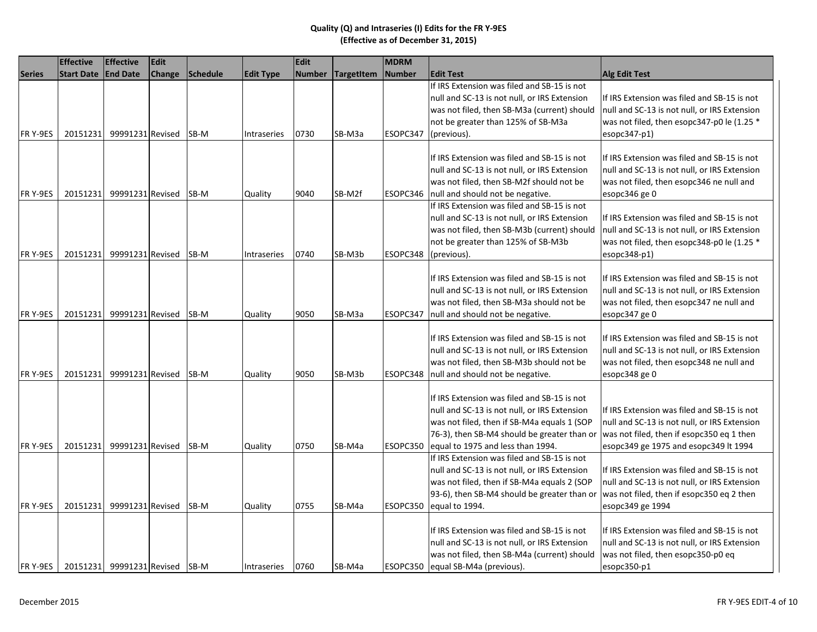|               | <b>Effective</b>  | <b>Effective</b>               | Edit          |                 |                    | Edit          |                   | <b>MDRM</b>   |                                                                                                                                                                                                                                |                                                                                                                                                                                   |
|---------------|-------------------|--------------------------------|---------------|-----------------|--------------------|---------------|-------------------|---------------|--------------------------------------------------------------------------------------------------------------------------------------------------------------------------------------------------------------------------------|-----------------------------------------------------------------------------------------------------------------------------------------------------------------------------------|
| <b>Series</b> | <b>Start Date</b> | <b>End Date</b>                | <b>Change</b> | <b>Schedule</b> | <b>Edit Type</b>   | <b>Number</b> | <b>TargetItem</b> | <b>Number</b> | <b>Edit Test</b>                                                                                                                                                                                                               | <b>Alg Edit Test</b>                                                                                                                                                              |
|               |                   |                                |               |                 |                    |               |                   |               | If IRS Extension was filed and SB-15 is not                                                                                                                                                                                    |                                                                                                                                                                                   |
|               |                   |                                |               |                 |                    |               |                   |               | null and SC-13 is not null, or IRS Extension                                                                                                                                                                                   | If IRS Extension was filed and SB-15 is not                                                                                                                                       |
|               |                   |                                |               |                 |                    |               |                   |               | was not filed, then SB-M3a (current) should                                                                                                                                                                                    | null and SC-13 is not null, or IRS Extension                                                                                                                                      |
|               |                   |                                |               |                 |                    |               |                   |               | not be greater than 125% of SB-M3a                                                                                                                                                                                             | was not filed, then esopc347-p0 le (1.25 *                                                                                                                                        |
| FR Y-9ES      | 20151231          | 99991231 Revised               |               | SB-M            | Intraseries        | 0730          | SB-M3a            | ESOPC347      | (previous).                                                                                                                                                                                                                    | esopc347-p1)                                                                                                                                                                      |
| FR Y-9ES      | 20151231          | 99991231 Revised               |               | SB-M            | Quality            | 9040          | SB-M2f            | ESOPC346      | If IRS Extension was filed and SB-15 is not<br>null and SC-13 is not null, or IRS Extension<br>was not filed, then SB-M2f should not be<br>null and should not be negative.                                                    | If IRS Extension was filed and SB-15 is not<br>null and SC-13 is not null, or IRS Extension<br>was not filed, then esopc346 ne null and<br>esopc346 ge 0                          |
| FR Y-9ES      | 20151231          | 99991231 Revised               |               | SB-M            | <b>Intraseries</b> | 0740          | SB-M3b            | ESOPC348      | If IRS Extension was filed and SB-15 is not<br>null and SC-13 is not null, or IRS Extension<br>was not filed, then SB-M3b (current) should<br>not be greater than 125% of SB-M3b<br>(previous).                                | If IRS Extension was filed and SB-15 is not<br>null and SC-13 is not null, or IRS Extension<br>was not filed, then esopc348-p0 le (1.25 *<br>esopc348-p1)                         |
| FR Y-9ES      | 20151231          | 99991231 Revised               |               | SB-M            | Quality            | 9050          | SB-M3a            | ESOPC347      | If IRS Extension was filed and SB-15 is not<br>null and SC-13 is not null, or IRS Extension<br>was not filed, then SB-M3a should not be<br>null and should not be negative.                                                    | If IRS Extension was filed and SB-15 is not<br>null and SC-13 is not null, or IRS Extension<br>was not filed, then esopc347 ne null and<br>esopc347 ge 0                          |
| FR Y-9ES      | 20151231          | 99991231 Revised               |               | SB-M            | Quality            | 9050          | SB-M3b            | ESOPC348      | If IRS Extension was filed and SB-15 is not<br>null and SC-13 is not null, or IRS Extension<br>was not filed, then SB-M3b should not be<br>null and should not be negative.                                                    | If IRS Extension was filed and SB-15 is not<br>null and SC-13 is not null, or IRS Extension<br>was not filed, then esopc348 ne null and<br>esopc348 ge 0                          |
| FR Y-9ES      | 20151231          | 99991231 Revised               |               | SB-M            | Quality            | 0750          | SB-M4a            | ESOPC350      | If IRS Extension was filed and SB-15 is not<br>null and SC-13 is not null, or IRS Extension<br>was not filed, then if SB-M4a equals 1 (SOP<br>76-3), then SB-M4 should be greater than or<br>equal to 1975 and less than 1994. | If IRS Extension was filed and SB-15 is not<br>null and SC-13 is not null, or IRS Extension<br>was not filed, then if esopc350 eq 1 then<br>esopc349 ge 1975 and esopc349 lt 1994 |
| FR Y-9ES      | 20151231          | 99991231 Revised               |               | SB-M            | Quality            | 0755          | SB-M4a            | ESOPC350      | If IRS Extension was filed and SB-15 is not<br>null and SC-13 is not null, or IRS Extension<br>was not filed, then if SB-M4a equals 2 (SOP<br>93-6), then SB-M4 should be greater than or<br>equal to 1994.                    | If IRS Extension was filed and SB-15 is not<br>null and SC-13 is not null, or IRS Extension<br>was not filed, then if esopc350 eq 2 then<br>esopc349 ge 1994                      |
| FR Y-9ES      |                   | 20151231 99991231 Revised SB-M |               |                 | <b>Intraseries</b> | 0760          | SB-M4a            |               | If IRS Extension was filed and SB-15 is not<br>null and SC-13 is not null, or IRS Extension<br>was not filed, then SB-M4a (current) should<br>ESOPC350 equal SB-M4a (previous).                                                | If IRS Extension was filed and SB-15 is not<br>null and SC-13 is not null, or IRS Extension<br>was not filed, then esopc350-p0 eq<br>esopc350-p1                                  |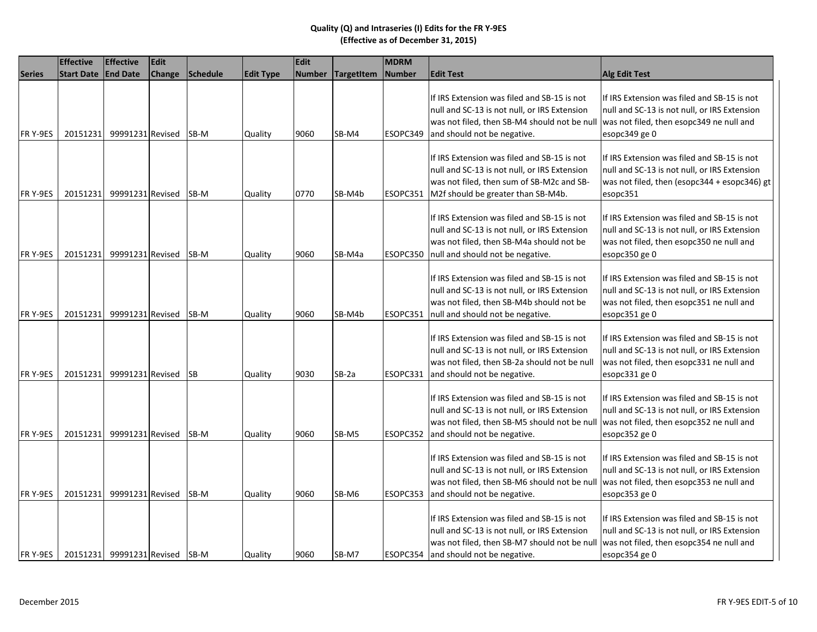|               | <b>Effective</b>               | <b>Effective</b> | Edit          |           |                  | <b>Edit</b>   |                   | <b>MDRM</b>   |                                                                                                                                                                                     |                                                                                                                                                          |
|---------------|--------------------------------|------------------|---------------|-----------|------------------|---------------|-------------------|---------------|-------------------------------------------------------------------------------------------------------------------------------------------------------------------------------------|----------------------------------------------------------------------------------------------------------------------------------------------------------|
| <b>Series</b> | <b>Start Date</b>              | <b>End Date</b>  | <b>Change</b> | Schedule  | <b>Edit Type</b> | <b>Number</b> | <b>TargetItem</b> | <b>Number</b> | <b>Edit Test</b>                                                                                                                                                                    | Alg Edit Test                                                                                                                                            |
| FR Y-9ES      | 20151231                       | 99991231 Revised |               | SB-M      | Quality          | 9060          | SB-M4             | ESOPC349      | If IRS Extension was filed and SB-15 is not<br>null and SC-13 is not null, or IRS Extension<br>was not filed, then SB-M4 should not be null<br>and should not be negative.          | If IRS Extension was filed and SB-15 is not<br>null and SC-13 is not null, or IRS Extension<br>was not filed, then esopc349 ne null and<br>esopc349 ge 0 |
| FR Y-9ES      | 20151231                       | 99991231 Revised |               | SB-M      | Quality          | 0770          | SB-M4b            | ESOPC351      | If IRS Extension was filed and SB-15 is not<br>null and SC-13 is not null, or IRS Extension<br>was not filed, then sum of SB-M2c and SB-<br>M2f should be greater than SB-M4b.      | If IRS Extension was filed and SB-15 is not<br>null and SC-13 is not null, or IRS Extension<br>was not filed, then (esopc344 + esopc346) gt<br>esopc351  |
| FR Y-9ES      | 20151231                       | 99991231 Revised |               | SB-M      | Quality          | 9060          | SB-M4a            | ESOPC350      | If IRS Extension was filed and SB-15 is not<br>null and SC-13 is not null, or IRS Extension<br>was not filed, then SB-M4a should not be<br>null and should not be negative.         | If IRS Extension was filed and SB-15 is not<br>null and SC-13 is not null, or IRS Extension<br>was not filed, then esopc350 ne null and<br>esopc350 ge 0 |
| FR Y-9ES      | 20151231                       | 99991231 Revised |               | SB-M      | Quality          | 9060          | SB-M4b            | ESOPC351      | If IRS Extension was filed and SB-15 is not<br>null and SC-13 is not null, or IRS Extension<br>was not filed, then SB-M4b should not be<br>null and should not be negative.         | If IRS Extension was filed and SB-15 is not<br>null and SC-13 is not null, or IRS Extension<br>was not filed, then esopc351 ne null and<br>esopc351 ge 0 |
| FR Y-9ES      | 20151231                       | 99991231 Revised |               | <b>SB</b> | Quality          | 9030          | SB-2a             | ESOPC331      | If IRS Extension was filed and SB-15 is not<br>null and SC-13 is not null, or IRS Extension<br>was not filed, then SB-2a should not be null<br>and should not be negative.          | If IRS Extension was filed and SB-15 is not<br>null and SC-13 is not null, or IRS Extension<br>was not filed, then esopc331 ne null and<br>esopc331 ge 0 |
| FR Y-9ES      | 20151231                       | 99991231 Revised |               | SB-M      | Quality          | 9060          | SB-M5             | ESOPC352      | If IRS Extension was filed and SB-15 is not<br>null and SC-13 is not null, or IRS Extension<br>was not filed, then SB-M5 should not be null<br>and should not be negative.          | If IRS Extension was filed and SB-15 is not<br>null and SC-13 is not null, or IRS Extension<br>was not filed, then esopc352 ne null and<br>esopc352 ge 0 |
| FR Y-9ES      | 20151231                       | 99991231 Revised |               | SB-M      | Quality          | 9060          | SB-M6             | ESOPC353      | If IRS Extension was filed and SB-15 is not<br>null and SC-13 is not null, or IRS Extension<br>was not filed, then SB-M6 should not be null<br>and should not be negative.          | If IRS Extension was filed and SB-15 is not<br>null and SC-13 is not null, or IRS Extension<br>was not filed, then esopc353 ne null and<br>esopc353 ge 0 |
| FR Y-9ES      | 20151231 99991231 Revised SB-M |                  |               |           | Quality          | 9060          | SB-M7             |               | If IRS Extension was filed and SB-15 is not<br>null and SC-13 is not null, or IRS Extension<br>was not filed, then SB-M7 should not be null<br>ESOPC354 and should not be negative. | If IRS Extension was filed and SB-15 is not<br>null and SC-13 is not null, or IRS Extension<br>was not filed, then esopc354 ne null and<br>esopc354 ge 0 |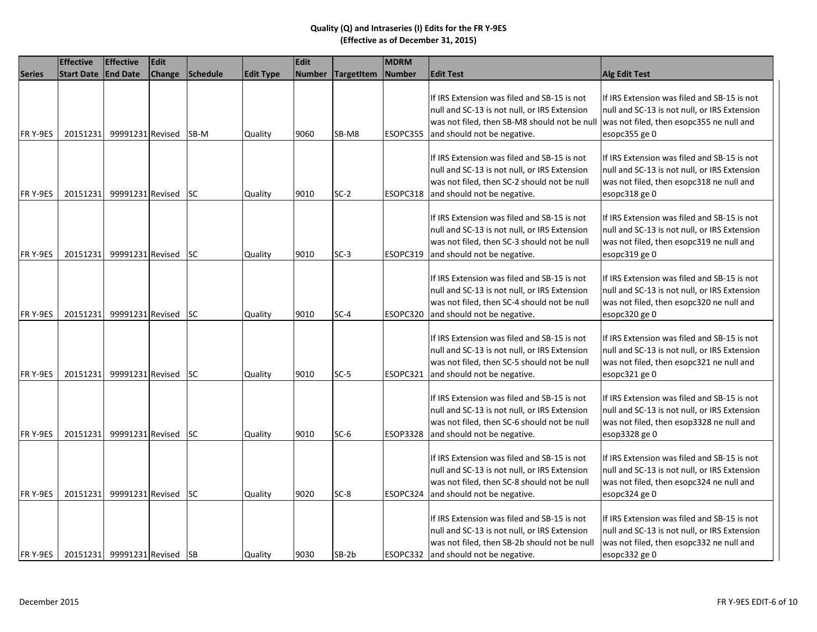|               | <b>Effective</b>             | <b>Effective</b> | <b>Edit</b>   |           |                  | Edit          |                   | <b>MDRM</b>   |                                                                                                                                                                                     |                                                                                                                                                          |
|---------------|------------------------------|------------------|---------------|-----------|------------------|---------------|-------------------|---------------|-------------------------------------------------------------------------------------------------------------------------------------------------------------------------------------|----------------------------------------------------------------------------------------------------------------------------------------------------------|
| <b>Series</b> | <b>Start Date</b>            | <b>End Date</b>  | <b>Change</b> | Schedule  | <b>Edit Type</b> | <b>Number</b> | <b>TargetItem</b> | <b>Number</b> | <b>Edit Test</b>                                                                                                                                                                    | <b>Alg Edit Test</b>                                                                                                                                     |
| FR Y-9ES      | 20151231                     | 99991231 Revised |               | SB-M      | Quality          | 9060          | SB-M8             | ESOPC355      | If IRS Extension was filed and SB-15 is not<br>null and SC-13 is not null, or IRS Extension<br>was not filed, then SB-M8 should not be null<br>and should not be negative.          | If IRS Extension was filed and SB-15 is not<br>null and SC-13 is not null, or IRS Extension<br>was not filed, then esopc355 ne null and<br>esopc355 ge 0 |
| FR Y-9ES      | 20151231                     | 99991231 Revised |               | <b>SC</b> | Quality          | 9010          | $SC-2$            | ESOPC318      | If IRS Extension was filed and SB-15 is not<br>null and SC-13 is not null, or IRS Extension<br>was not filed, then SC-2 should not be null<br>and should not be negative.           | If IRS Extension was filed and SB-15 is not<br>null and SC-13 is not null, or IRS Extension<br>was not filed, then esopc318 ne null and<br>esopc318 ge 0 |
| FR Y-9ES      | 20151231                     | 99991231 Revised |               | <b>SC</b> | Quality          | 9010          | $SC-3$            | ESOPC319      | If IRS Extension was filed and SB-15 is not<br>null and SC-13 is not null, or IRS Extension<br>was not filed, then SC-3 should not be null<br>and should not be negative.           | If IRS Extension was filed and SB-15 is not<br>null and SC-13 is not null, or IRS Extension<br>was not filed, then esopc319 ne null and<br>esopc319 ge 0 |
| FR Y-9ES      | 20151231                     | 99991231 Revised |               | <b>SC</b> | Quality          | 9010          | $SC-4$            | ESOPC320      | If IRS Extension was filed and SB-15 is not<br>null and SC-13 is not null, or IRS Extension<br>was not filed, then SC-4 should not be null<br>and should not be negative.           | If IRS Extension was filed and SB-15 is not<br>null and SC-13 is not null, or IRS Extension<br>was not filed, then esopc320 ne null and<br>esopc320 ge 0 |
| FR Y-9ES      | 20151231                     | 99991231 Revised |               | <b>SC</b> | Quality          | 9010          | $SC-5$            | ESOPC321      | If IRS Extension was filed and SB-15 is not<br>null and SC-13 is not null, or IRS Extension<br>was not filed, then SC-5 should not be null<br>and should not be negative.           | If IRS Extension was filed and SB-15 is not<br>null and SC-13 is not null, or IRS Extension<br>was not filed, then esopc321 ne null and<br>esopc321 ge 0 |
| FR Y-9ES      | 20151231                     | 99991231 Revised |               | <b>SC</b> | Quality          | 9010          | $SC-6$            | ESOP3328      | If IRS Extension was filed and SB-15 is not<br>null and SC-13 is not null, or IRS Extension<br>was not filed, then SC-6 should not be null<br>and should not be negative.           | If IRS Extension was filed and SB-15 is not<br>null and SC-13 is not null, or IRS Extension<br>was not filed, then esop3328 ne null and<br>esop3328 ge 0 |
| FR Y-9ES      | 20151231                     | 99991231 Revised |               | <b>SC</b> | Quality          | 9020          | $SC-8$            | ESOPC324      | If IRS Extension was filed and SB-15 is not<br>null and SC-13 is not null, or IRS Extension<br>was not filed, then SC-8 should not be null<br>and should not be negative.           | If IRS Extension was filed and SB-15 is not<br>null and SC-13 is not null, or IRS Extension<br>was not filed, then esopc324 ne null and<br>esopc324 ge 0 |
| FR Y-9ES      | 20151231 99991231 Revised SB |                  |               |           | Quality          | 9030          | $SB-2b$           |               | If IRS Extension was filed and SB-15 is not<br>null and SC-13 is not null, or IRS Extension<br>was not filed, then SB-2b should not be null<br>ESOPC332 and should not be negative. | If IRS Extension was filed and SB-15 is not<br>null and SC-13 is not null, or IRS Extension<br>was not filed, then esopc332 ne null and<br>esopc332 ge 0 |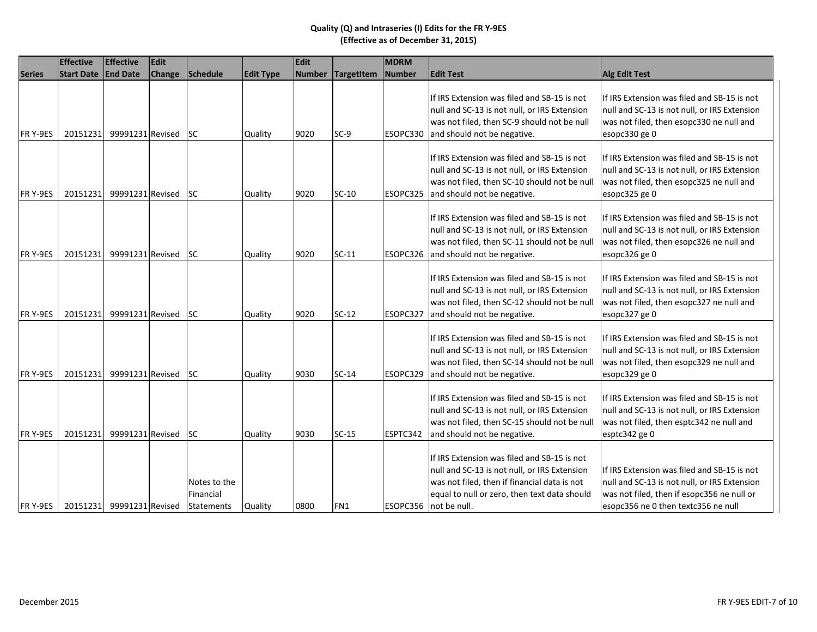|                 | <b>Effective</b>          | <b>Effective</b> | Edit   |                                         |                  | Edit          |                   | <b>MDRM</b>   |                                                                                                                                                                                                                      |                                                                                                                                                                                  |
|-----------------|---------------------------|------------------|--------|-----------------------------------------|------------------|---------------|-------------------|---------------|----------------------------------------------------------------------------------------------------------------------------------------------------------------------------------------------------------------------|----------------------------------------------------------------------------------------------------------------------------------------------------------------------------------|
| <b>Series</b>   | <b>Start Date</b>         | <b>End Date</b>  | Change | Schedule                                | <b>Edit Type</b> | <b>Number</b> | <b>TargetItem</b> | <b>Number</b> | <b>Edit Test</b>                                                                                                                                                                                                     | <b>Alg Edit Test</b>                                                                                                                                                             |
| FR Y-9ES        | 20151231                  | 99991231 Revised |        | <b>SC</b>                               | Quality          | 9020          | $SC-9$            | ESOPC330      | If IRS Extension was filed and SB-15 is not<br>null and SC-13 is not null, or IRS Extension<br>was not filed, then SC-9 should not be null<br>and should not be negative.                                            | If IRS Extension was filed and SB-15 is not<br>null and SC-13 is not null, or IRS Extension<br>was not filed, then esopc330 ne null and<br>esopc330 ge 0                         |
| FR Y-9ES        | 20151231                  | 99991231 Revised |        | <b>SC</b>                               | Quality          | 9020          | $SC-10$           | ESOPC325      | If IRS Extension was filed and SB-15 is not<br>null and SC-13 is not null, or IRS Extension<br>was not filed, then SC-10 should not be null<br>and should not be negative.                                           | If IRS Extension was filed and SB-15 is not<br>null and SC-13 is not null, or IRS Extension<br>was not filed, then esopc325 ne null and<br>esopc325 ge 0                         |
| <b>FRY-9ES</b>  | 20151231                  | 99991231 Revised |        | <b>SC</b>                               | Quality          | 9020          | $SC-11$           | ESOPC326      | If IRS Extension was filed and SB-15 is not<br>null and SC-13 is not null, or IRS Extension<br>was not filed, then SC-11 should not be null<br>and should not be negative.                                           | If IRS Extension was filed and SB-15 is not<br>null and SC-13 is not null, or IRS Extension<br>was not filed, then esopc326 ne null and<br>esopc326 ge 0                         |
| <b>FRY-9ES</b>  | 20151231                  | 99991231 Revised |        | <b>SC</b>                               | Quality          | 9020          | $SC-12$           | ESOPC327      | If IRS Extension was filed and SB-15 is not<br>null and SC-13 is not null, or IRS Extension<br>was not filed, then SC-12 should not be null<br>and should not be negative.                                           | If IRS Extension was filed and SB-15 is not<br>null and SC-13 is not null, or IRS Extension<br>was not filed, then esopc327 ne null and<br>esopc327 ge 0                         |
| FR Y-9ES        | 20151231                  | 99991231 Revised |        | lsc                                     | Quality          | 9030          | $SC-14$           | ESOPC329      | If IRS Extension was filed and SB-15 is not<br>null and SC-13 is not null, or IRS Extension<br>was not filed, then SC-14 should not be null<br>and should not be negative.                                           | If IRS Extension was filed and SB-15 is not<br>null and SC-13 is not null, or IRS Extension<br>was not filed, then esopc329 ne null and<br>esopc329 ge 0                         |
| <b>FR Y-9ES</b> | 20151231                  | 99991231 Revised |        | <b>SC</b>                               | Quality          | 9030          | $SC-15$           | ESPTC342      | If IRS Extension was filed and SB-15 is not<br>null and SC-13 is not null, or IRS Extension<br>was not filed, then SC-15 should not be null<br>and should not be negative.                                           | If IRS Extension was filed and SB-15 is not<br>null and SC-13 is not null, or IRS Extension<br>was not filed, then esptc342 ne null and<br>esptc342 ge 0                         |
| FR Y-9ES        | 20151231 99991231 Revised |                  |        | Notes to the<br>Financial<br>Statements | Quality          | 0800          | FN1               |               | If IRS Extension was filed and SB-15 is not<br>null and SC-13 is not null, or IRS Extension<br>was not filed, then if financial data is not<br>equal to null or zero, then text data should<br>ESOPC356 not be null. | If IRS Extension was filed and SB-15 is not<br>null and SC-13 is not null, or IRS Extension<br>was not filed, then if esopc356 ne null or<br>esopc356 ne 0 then textc356 ne null |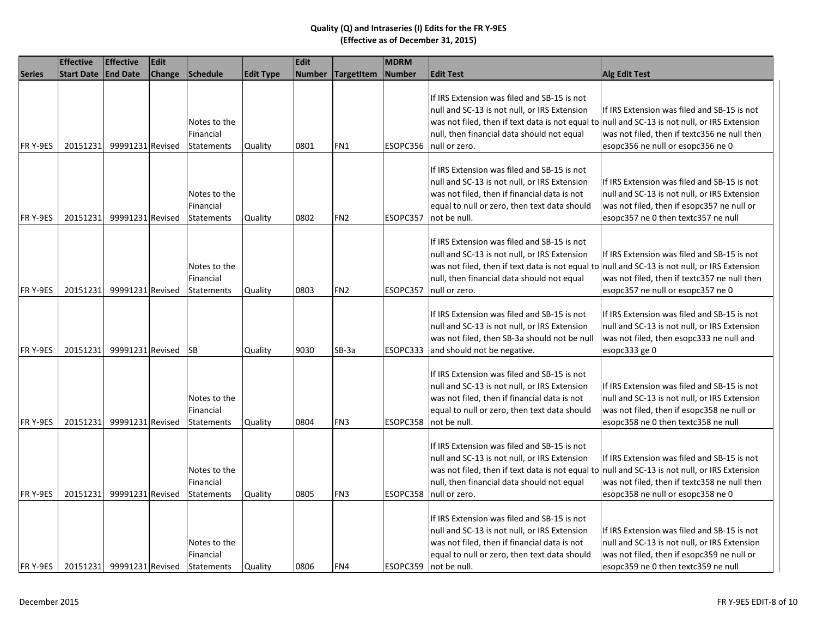|               | <b>Effective</b>  | <b>Effective</b>          | Edit   |                                                |                  | Edit          |                 | <b>MDRM</b> |                                                                                                                                                                                                                                                             |                                                                                                                                                                                  |
|---------------|-------------------|---------------------------|--------|------------------------------------------------|------------------|---------------|-----------------|-------------|-------------------------------------------------------------------------------------------------------------------------------------------------------------------------------------------------------------------------------------------------------------|----------------------------------------------------------------------------------------------------------------------------------------------------------------------------------|
| <b>Series</b> | <b>Start Date</b> | <b>End Date</b>           | Change | Schedule                                       | <b>Edit Type</b> | <b>Number</b> | TargetItem      | Number      | <b>Edit Test</b>                                                                                                                                                                                                                                            | <b>Alg Edit Test</b>                                                                                                                                                             |
| FR Y-9ES      | 20151231          | 99991231 Revised          |        | Notes to the<br>Financial<br><b>Statements</b> | Quality          | 0801          | FN1             | ESOPC356    | If IRS Extension was filed and SB-15 is not<br>null and SC-13 is not null, or IRS Extension<br>was not filed, then if text data is not equal to null and SC-13 is not null, or IRS Extension<br>null, then financial data should not equal<br>null or zero. | If IRS Extension was filed and SB-15 is not<br>was not filed, then if textc356 ne null then<br>esopc356 ne null or esopc356 ne 0                                                 |
| FR Y-9ES      | 20151231          | 99991231 Revised          |        | Notes to the<br>Financial<br><b>Statements</b> | Quality          | 0802          | FN <sub>2</sub> | ESOPC357    | If IRS Extension was filed and SB-15 is not<br>null and SC-13 is not null, or IRS Extension<br>was not filed, then if financial data is not<br>equal to null or zero, then text data should<br>not be null.                                                 | If IRS Extension was filed and SB-15 is not<br>null and SC-13 is not null, or IRS Extension<br>was not filed, then if esopc357 ne null or<br>esopc357 ne 0 then textc357 ne null |
| FR Y-9ES      | 20151231          | 99991231 Revised          |        | Notes to the<br>Financial<br><b>Statements</b> | Quality          | 0803          | FN <sub>2</sub> | ESOPC357    | If IRS Extension was filed and SB-15 is not<br>null and SC-13 is not null, or IRS Extension<br>was not filed, then if text data is not equal to null and SC-13 is not null, or IRS Extension<br>null, then financial data should not equal<br>null or zero. | If IRS Extension was filed and SB-15 is not<br>was not filed, then if textc357 ne null then<br>esopc357 ne null or esopc357 ne 0                                                 |
| FR Y-9ES      | 20151231          | 99991231 Revised          |        | <b>SB</b>                                      | Quality          | 9030          | SB-3a           | ESOPC333    | If IRS Extension was filed and SB-15 is not<br>null and SC-13 is not null, or IRS Extension<br>was not filed, then SB-3a should not be null<br>and should not be negative.                                                                                  | If IRS Extension was filed and SB-15 is not<br>null and SC-13 is not null, or IRS Extension<br>was not filed, then esopc333 ne null and<br>esopc333 ge 0                         |
| FR Y-9ES      | 20151231          | 99991231 Revised          |        | Notes to the<br>Financial<br><b>Statements</b> | Quality          | 0804          | FN <sub>3</sub> | ESOPC358    | If IRS Extension was filed and SB-15 is not<br>null and SC-13 is not null, or IRS Extension<br>was not filed, then if financial data is not<br>equal to null or zero, then text data should<br>not be null.                                                 | If IRS Extension was filed and SB-15 is not<br>null and SC-13 is not null, or IRS Extension<br>was not filed, then if esopc358 ne null or<br>esopc358 ne 0 then textc358 ne null |
| FR Y-9ES      | 20151231          | 99991231 Revised          |        | Notes to the<br>Financial<br><b>Statements</b> | Quality          | 0805          | FN <sub>3</sub> | ESOPC358    | If IRS Extension was filed and SB-15 is not<br>null and SC-13 is not null, or IRS Extension<br>was not filed, then if text data is not equal to null and SC-13 is not null, or IRS Extension<br>null, then financial data should not equal<br>null or zero. | If IRS Extension was filed and SB-15 is not<br>was not filed, then if textc358 ne null then<br>esopc358 ne null or esopc358 ne 0                                                 |
| FR Y-9ES      |                   | 20151231 99991231 Revised |        | Notes to the<br>Financial<br>Statements        | Quality          | 0806          | FN4             |             | If IRS Extension was filed and SB-15 is not<br>null and SC-13 is not null, or IRS Extension<br>was not filed, then if financial data is not<br>equal to null or zero, then text data should<br>ESOPC359   not be null.                                      | If IRS Extension was filed and SB-15 is not<br>null and SC-13 is not null, or IRS Extension<br>was not filed, then if esopc359 ne null or<br>esopc359 ne 0 then textc359 ne null |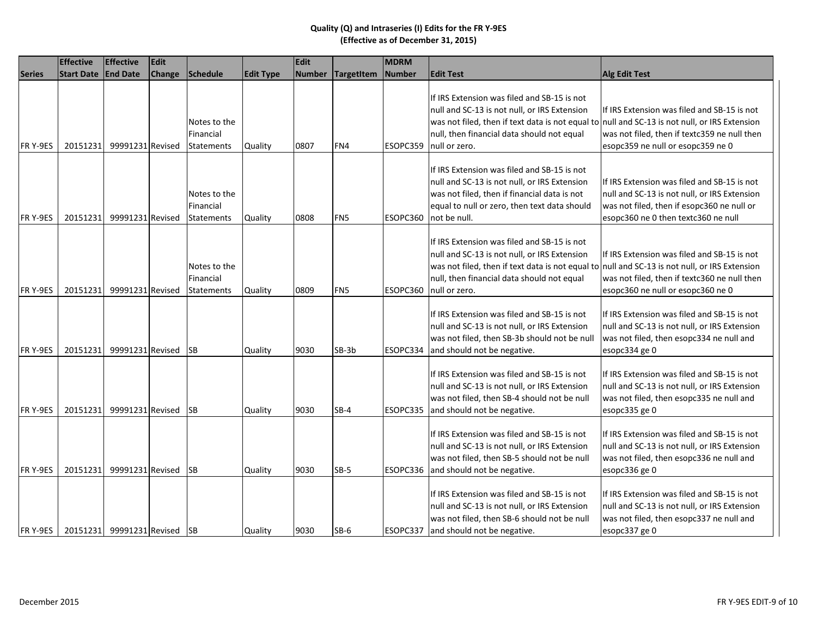|                | <b>Effective</b>    | <b>Effective</b>             | Edit   |                                                |                  | Edit          |            | MDRM     |                                                                                                                                                                                                                                                             |                                                                                                                                                                                  |
|----------------|---------------------|------------------------------|--------|------------------------------------------------|------------------|---------------|------------|----------|-------------------------------------------------------------------------------------------------------------------------------------------------------------------------------------------------------------------------------------------------------------|----------------------------------------------------------------------------------------------------------------------------------------------------------------------------------|
| <b>Series</b>  | Start Date End Date |                              | Change | Schedule                                       | <b>Edit Type</b> | <b>Number</b> | TargetItem | Number   | <b>Edit Test</b>                                                                                                                                                                                                                                            | <b>Alg Edit Test</b>                                                                                                                                                             |
| FR Y-9ES       | 20151231            | 99991231 Revised             |        | Notes to the<br>Financial<br><b>Statements</b> | Quality          | 0807          | FN4        | ESOPC359 | If IRS Extension was filed and SB-15 is not<br>null and SC-13 is not null, or IRS Extension<br>was not filed, then if text data is not equal to<br>null, then financial data should not equal<br>null or zero.                                              | If IRS Extension was filed and SB-15 is not<br>null and SC-13 is not null, or IRS Extension<br>was not filed, then if textc359 ne null then<br>esopc359 ne null or esopc359 ne 0 |
| FR Y-9ES       | 20151231            | 99991231 Revised             |        | Notes to the<br>Financial<br><b>Statements</b> | Quality          | 0808          | FN5        | ESOPC360 | If IRS Extension was filed and SB-15 is not<br>null and SC-13 is not null, or IRS Extension<br>was not filed, then if financial data is not<br>equal to null or zero, then text data should<br>not be null.                                                 | If IRS Extension was filed and SB-15 is not<br>null and SC-13 is not null, or IRS Extension<br>was not filed, then if esopc360 ne null or<br>esopc360 ne 0 then textc360 ne null |
| FR Y-9ES       | 20151231            | 99991231 Revised             |        | Notes to the<br>Financial<br>Statements        | Quality          | 0809          | FN5        | ESOPC360 | If IRS Extension was filed and SB-15 is not<br>null and SC-13 is not null, or IRS Extension<br>was not filed, then if text data is not equal to null and SC-13 is not null, or IRS Extension<br>null, then financial data should not equal<br>null or zero. | If IRS Extension was filed and SB-15 is not<br>was not filed, then if textc360 ne null then<br>esopc360 ne null or esopc360 ne 0                                                 |
| FR Y-9ES       | 20151231            | 99991231 Revised             |        | <b>SB</b>                                      | Quality          | 9030          | $SB-3b$    | ESOPC334 | If IRS Extension was filed and SB-15 is not<br>null and SC-13 is not null, or IRS Extension<br>was not filed, then SB-3b should not be null<br>and should not be negative.                                                                                  | If IRS Extension was filed and SB-15 is not<br>null and SC-13 is not null, or IRS Extension<br>was not filed, then esopc334 ne null and<br>esopc334 ge 0                         |
| FR Y-9ES       | 20151231            | 99991231 Revised             |        | <b>SB</b>                                      | Quality          | 9030          | $SB-4$     | ESOPC335 | If IRS Extension was filed and SB-15 is not<br>null and SC-13 is not null, or IRS Extension<br>was not filed, then SB-4 should not be null<br>and should not be negative.                                                                                   | If IRS Extension was filed and SB-15 is not<br>null and SC-13 is not null, or IRS Extension<br>was not filed, then esopc335 ne null and<br>esopc335 ge 0                         |
| FR Y-9ES       | 20151231            | 99991231 Revised             |        | <b>SB</b>                                      | Quality          | 9030          | $SB-5$     | ESOPC336 | If IRS Extension was filed and SB-15 is not<br>null and SC-13 is not null, or IRS Extension<br>was not filed, then SB-5 should not be null<br>and should not be negative.                                                                                   | If IRS Extension was filed and SB-15 is not<br>null and SC-13 is not null, or IRS Extension<br>was not filed, then esopc336 ne null and<br>esopc336 ge 0                         |
| <b>FRY-9ES</b> |                     | 20151231 99991231 Revised SB |        |                                                | Quality          | 9030          | $SB-6$     |          | If IRS Extension was filed and SB-15 is not<br>null and SC-13 is not null, or IRS Extension<br>was not filed, then SB-6 should not be null<br>ESOPC337 and should not be negative.                                                                          | If IRS Extension was filed and SB-15 is not<br>null and SC-13 is not null, or IRS Extension<br>was not filed, then esopc337 ne null and<br>esopc337 ge 0                         |